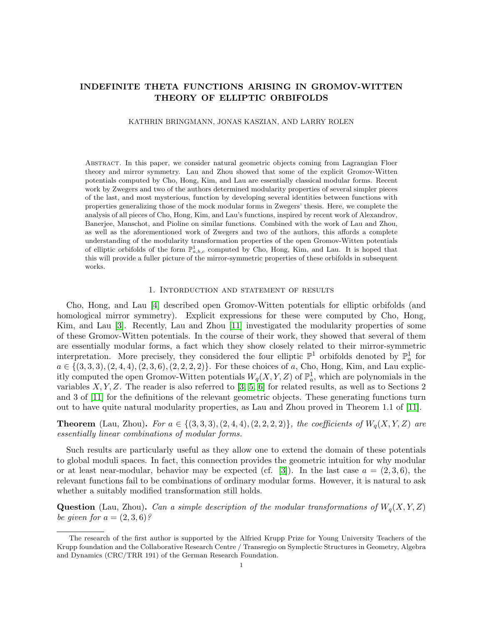# INDEFINITE THETA FUNCTIONS ARISING IN GROMOV-WITTEN THEORY OF ELLIPTIC ORBIFOLDS

#### KATHRIN BRINGMANN, JONAS KASZIAN, AND LARRY ROLEN

Abstract. In this paper, we consider natural geometric objects coming from Lagrangian Floer theory and mirror symmetry. Lau and Zhou showed that some of the explicit Gromov-Witten potentials computed by Cho, Hong, Kim, and Lau are essentially classical modular forms. Recent work by Zwegers and two of the authors determined modularity properties of several simpler pieces of the last, and most mysterious, function by developing several identities between functions with properties generalizing those of the mock modular forms in Zwegers' thesis. Here, we complete the analysis of all pieces of Cho, Hong, Kim, and Lau's functions, inspired by recent work of Alexandrov, Banerjee, Manschot, and Pioline on similar functions. Combined with the work of Lau and Zhou, as well as the aforementioned work of Zwegers and two of the authors, this affords a complete understanding of the modularity transformation properties of the open Gromov-Witten potentials of elliptic orbifolds of the form  $\mathbb{P}^1_{a,b,c}$  computed by Cho, Hong, Kim, and Lau. It is hoped that this will provide a fuller picture of the mirror-symmetric properties of these orbifolds in subsequent works.

### 1. Intorduction and statement of results

Cho, Hong, and Lau [\[4\]](#page-20-0) described open Gromov-Witten potentials for elliptic orbifolds (and homological mirror symmetry). Explicit expressions for these were computed by Cho, Hong, Kim, and Lau [\[3\]](#page-20-1). Recently, Lau and Zhou [\[11\]](#page-20-2) investigated the modularity properties of some of these Gromov-Witten potentials. In the course of their work, they showed that several of them are essentially modular forms, a fact which they show closely related to their mirror-symmetric interpretation. More precisely, they considered the four elliptic  $\mathbb{P}^1$  orbifolds denoted by  $\mathbb{P}^1_a$  for  $a \in \{(3,3,3), (2,4,4), (2,3,6), (2,2,2,2)\}.$  For these choices of a, Cho, Hong, Kim, and Lau explicitly computed the open Gromov-Witten potentials  $W_q(X, Y, Z)$  of  $\mathbb{P}^1_q$ , which are polynomials in the variables  $X, Y, Z$ . The reader is also referred to [\[3,](#page-20-1) [5,](#page-20-3) [6\]](#page-20-4) for related results, as well as to Sections 2 and 3 of [\[11\]](#page-20-2) for the definitions of the relevant geometric objects. These generating functions turn out to have quite natural modularity properties, as Lau and Zhou proved in Theorem 1.1 of [\[11\]](#page-20-2).

**Theorem** (Lau, Zhou). For  $a \in \{(3,3,3), (2,4,4), (2,2,2,2)\}$ , the coefficients of  $W_q(X, Y, Z)$  are essentially linear combinations of modular forms.

Such results are particularly useful as they allow one to extend the domain of these potentials to global moduli spaces. In fact, this connection provides the geometric intuition for why modular or at least near-modular, behavior may be expected (cf. [\[3\]](#page-20-1)). In the last case  $a = (2, 3, 6)$ , the relevant functions fail to be combinations of ordinary modular forms. However, it is natural to ask whether a suitably modified transformation still holds.

**Question** (Lau, Zhou). Can a simple description of the modular transformations of  $W_q(X, Y, Z)$ be given for  $a = (2, 3, 6)$ ?

The research of the first author is supported by the Alfried Krupp Prize for Young University Teachers of the Krupp foundation and the Collaborative Research Centre / Transregio on Symplectic Structures in Geometry, Algebra and Dynamics (CRC/TRR 191) of the German Research Foundation.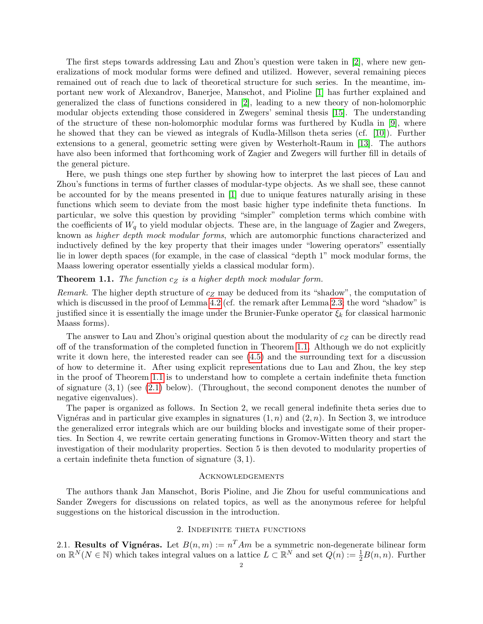The first steps towards addressing Lau and Zhou's question were taken in [\[2\]](#page-20-5), where new generalizations of mock modular forms were defined and utilized. However, several remaining pieces remained out of reach due to lack of theoretical structure for such series. In the meantime, important new work of Alexandrov, Banerjee, Manschot, and Pioline [\[1\]](#page-20-6) has further explained and generalized the class of functions considered in [\[2\]](#page-20-5), leading to a new theory of non-holomorphic modular objects extending those considered in Zwegers' seminal thesis [\[15\]](#page-20-7). The understanding of the structure of these non-holomorphic modular forms was furthered by Kudla in [\[9\]](#page-20-8), where he showed that they can be viewed as integrals of Kudla-Millson theta series (cf. [\[10\]](#page-20-9)). Further extensions to a general, geometric setting were given by Westerholt-Raum in [\[13\]](#page-20-10). The authors have also been informed that forthcoming work of Zagier and Zwegers will further fill in details of the general picture.

Here, we push things one step further by showing how to interpret the last pieces of Lau and Zhou's functions in terms of further classes of modular-type objects. As we shall see, these cannot be accounted for by the means presented in [\[1\]](#page-20-6) due to unique features naturally arising in these functions which seem to deviate from the most basic higher type indefinite theta functions. In particular, we solve this question by providing "simpler" completion terms which combine with the coefficients of  $W_q$  to yield modular objects. These are, in the language of Zagier and Zwegers, known as higher depth mock modular forms, which are automorphic functions characterized and inductively defined by the key property that their images under "lowering operators" essentially lie in lower depth spaces (for example, in the case of classical "depth 1" mock modular forms, the Maass lowering operator essentially yields a classical modular form).

# <span id="page-1-0"></span>**Theorem 1.1.** The function  $c_Z$  is a higher depth mock modular form.

Remark. The higher depth structure of  $c_Z$  may be deduced from its "shadow", the computation of which is discussed in the proof of Lemma [4.2](#page-14-0) (cf. the remark after Lemma [2.3;](#page-2-0) the word "shadow" is justified since it is essentially the image under the Brunier-Funke operator  $\xi_k$  for classical harmonic Maass forms).

The answer to Lau and Zhou's original question about the modularity of  $c<sub>Z</sub>$  can be directly read off of the transformation of the completed function in Theorem [1.1.](#page-1-0) Although we do not explicitly write it down here, the interested reader can see [\(4.5\)](#page-12-0) and the surrounding text for a discussion of how to determine it. After using explicit representations due to Lau and Zhou, the key step in the proof of Theorem [1.1](#page-1-0) is to understand how to complete a certain indefinite theta function of signature  $(3, 1)$  (see  $(2.1)$  below). (Throughout, the second component denotes the number of negative eigenvalues).

The paper is organized as follows. In Section 2, we recall general indefinite theta series due to Vignéras and in particular give examples in signatures  $(1, n)$  and  $(2, n)$ . In Section 3, we introduce the generalized error integrals which are our building blocks and investigate some of their properties. In Section 4, we rewrite certain generating functions in Gromov-Witten theory and start the investigation of their modularity properties. Section 5 is then devoted to modularity properties of a certain indefinite theta function of signature (3, 1).

#### **ACKNOWLEDGEMENTS**

The authors thank Jan Manschot, Boris Pioline, and Jie Zhou for useful communications and Sander Zwegers for discussions on related topics, as well as the anonymous referee for helpful suggestions on the historical discussion in the introduction.

### 2. Indefinite theta functions

2.1. Results of Vignéras. Let  $B(n,m) := n^T A m$  be a symmetric non-degenerate bilinear form on  $\mathbb{R}^N(N \in \mathbb{N})$  which takes integral values on a lattice  $L \subset \mathbb{R}^N$  and set  $Q(n) := \frac{1}{2}B(n,n)$ . Further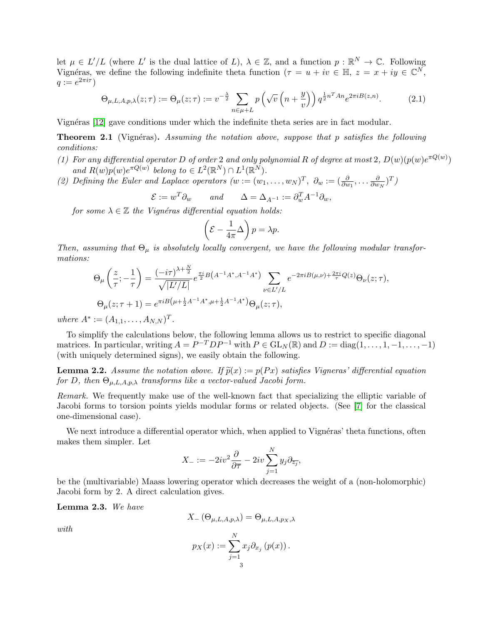let  $\mu \in L'/L$  (where L' is the dual lattice of L),  $\lambda \in \mathbb{Z}$ , and a function  $p : \mathbb{R}^N \to \mathbb{C}$ . Following Vignéras, we define the following indefinite theta function ( $\tau = u + iv \in \mathbb{H}$ ,  $z = x + iy \in \mathbb{C}^N$ ,  $q := e^{2\pi i \tau}$ 

$$
\Theta_{\mu,L,A,p,\lambda}(z;\tau) := \Theta_{\mu}(z;\tau) := v^{-\frac{\lambda}{2}} \sum_{n \in \mu+L} p\left(\sqrt{v}\left(n+\frac{y}{v}\right)\right) q^{\frac{1}{2}n^T A n} e^{2\pi i B(z,n)}.\tag{2.1}
$$

Vignéras [\[12\]](#page-20-11) gave conditions under which the indefinite theta series are in fact modular.

**Theorem 2.1** (Vignéras). Assuming the notation above, suppose that p satisfies the following conditions:

- (1) For any differential operator D of order 2 and only polynomial R of degree at most 2,  $D(w)(p(w)e^{\pi Q(w)})$ and  $R(w)p(w)e^{\pi Q(w)}$  belong to  $\in L^2(\mathbb{R}^N) \cap L^1(\mathbb{R}^N)$ .
- (2) Defining the Euler and Laplace operators  $(w := (w_1, \ldots, w_N)^T, \ \partial_w := (\frac{\partial}{\partial w_1}, \ldots, \frac{\partial}{\partial w_N})$  $\frac{\partial}{\partial w_N}$  $)^T$ )

$$
\mathcal{E} := w^T \partial_w \quad \text{and} \quad \Delta = \Delta_{A^{-1}} := \partial_w^T A^{-1} \partial_w,
$$

for some  $\lambda \in \mathbb{Z}$  the Vignéras differential equation holds:

<span id="page-2-1"></span>
$$
\left(\mathcal{E} - \frac{1}{4\pi}\Delta\right)p = \lambda p.
$$

Then, assuming that  $\Theta_{\mu}$  is absolutely locally convergent, we have the following modular transformations:

$$
\Theta_{\mu}\left(\frac{z}{\tau};-\frac{1}{\tau}\right) = \frac{(-i\tau)^{\lambda+\frac{N}{2}}}{\sqrt{|L'/L|}} e^{\frac{\pi i}{2}B\left(A^{-1}A^*,A^{-1}A^*\right)} \sum_{\nu \in L'/L} e^{-2\pi i B(\mu,\nu)+\frac{2\pi i}{\tau}Q(z)} \Theta_{\nu}(z;\tau),
$$
  
\n
$$
\Theta_{\mu}(z;\tau+1) = e^{\pi i B\left(\mu+\frac{1}{2}A^{-1}A^*,\mu+\frac{1}{2}A^{-1}A^*\right)} \Theta_{\mu}(z;\tau),
$$

where  $A^* := (A_{1,1}, \ldots, A_{N,N})^T$ .

To simplify the calculations below, the following lemma allows us to restrict to specific diagonal matrices. In particular, writing  $A = P^{-T}DP^{-1}$  with  $P \in GL_N(\mathbb{R})$  and  $D := diag(1, \ldots, 1, -1, \ldots, -1)$ (with uniquely determined signs), we easily obtain the following.

<span id="page-2-2"></span>**Lemma 2.2.** Assume the notation above. If  $\tilde{p}(x) := p(Px)$  satisfies Vigneras' differential equation for D, then  $\Theta_{\mu,L,A,p,\lambda}$  transforms like a vector-valued Jacobi form.

Remark. We frequently make use of the well-known fact that specializing the elliptic variable of Jacobi forms to torsion points yields modular forms or related objects. (See [\[7\]](#page-20-12) for the classical one-dimensional case).

We next introduce a differential operator which, when applied to Vignéras' theta functions, often makes them simpler. Let

$$
X_{-} := -2iv^{2}\frac{\partial}{\partial \overline{\tau}} - 2iv\sum_{j=1}^{N} y_{j}\partial_{\overline{z_{j}}},
$$

be the (multivariable) Maass lowering operator which decreases the weight of a (non-holomorphic) Jacobi form by 2. A direct calculation gives.

<span id="page-2-0"></span>Lemma 2.3. We have

$$
X_{-}\left(\Theta_{\mu,L,A,p,\lambda}\right)=\Theta_{\mu,L,A,p_{X},\lambda}
$$

with

$$
p_X(x) := \sum_{j=1}^{N} x_j \partial_{x_j} (p(x)).
$$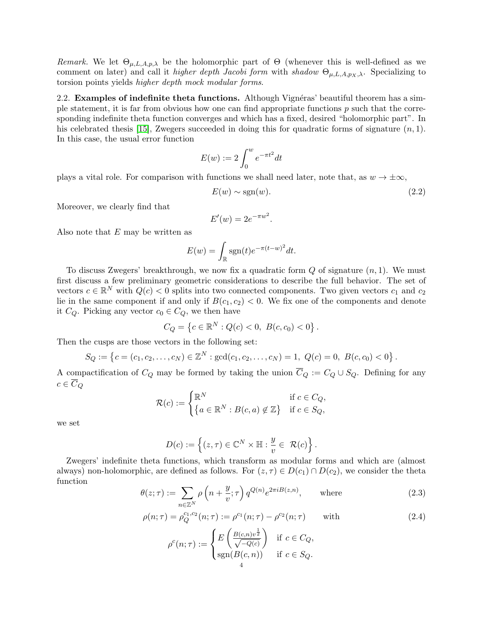Remark. We let  $\Theta_{\mu,L,A,p,\lambda}$  be the holomorphic part of  $\Theta$  (whenever this is well-defined as we comment on later) and call it higher depth Jacobi form with shadow  $\Theta_{\mu,L,A,p_X,\lambda}$ . Specializing to torsion points yields higher depth mock modular forms.

<span id="page-3-2"></span>2.2. **Examples of indefinite theta functions.** Although Vignéras' beautiful theorem has a simple statement, it is far from obvious how one can find appropriate functions  $p$  such that the corresponding indefinite theta function converges and which has a fixed, desired "holomorphic part". In his celebrated thesis [\[15\]](#page-20-7), Zwegers succeeded in doing this for quadratic forms of signature  $(n, 1)$ . In this case, the usual error function

$$
E(w):=2\int_0^w e^{-\pi t^2}dt
$$

plays a vital role. For comparison with functions we shall need later, note that, as  $w \to \pm \infty$ ,

<span id="page-3-0"></span>
$$
E(w) \sim \text{sgn}(w). \tag{2.2}
$$

Moreover, we clearly find that

$$
E'(w) = 2e^{-\pi w^2}.
$$

Also note that  $E$  may be written as

$$
E(w) = \int_{\mathbb{R}} \text{sgn}(t) e^{-\pi (t-w)^2} dt.
$$

To discuss Zwegers' breakthrough, we now fix a quadratic form  $Q$  of signature  $(n, 1)$ . We must first discuss a few preliminary geometric considerations to describe the full behavior. The set of vectors  $c \in \mathbb{R}^N$  with  $Q(c) < 0$  splits into two connected components. Two given vectors  $c_1$  and  $c_2$ lie in the same component if and only if  $B(c_1, c_2) < 0$ . We fix one of the components and denote it  $C_Q$ . Picking any vector  $c_0 \in C_Q$ , we then have

$$
C_Q = \left\{ c \in \mathbb{R}^N : Q(c) < 0, \ B(c, c_0) < 0 \right\}.
$$

Then the cusps are those vectors in the following set:

$$
S_Q := \left\{c = (c_1, c_2, \dots, c_N) \in \mathbb{Z}^N : \gcd(c_1, c_2, \dots, c_N) = 1, \ Q(c) = 0, \ B(c, c_0) < 0\right\}.
$$

A compactification of  $C_Q$  may be formed by taking the union  $C_Q := C_Q \cup S_Q$ . Defining for any  $c \in \overline{C}_Q$ 

$$
\mathcal{R}(c) := \begin{cases} \mathbb{R}^N & \text{if } c \in C_Q, \\ \{a \in \mathbb{R}^N : B(c, a) \notin \mathbb{Z} \} & \text{if } c \in S_Q, \end{cases}
$$

we set

$$
D(c) := \left\{ (z, \tau) \in \mathbb{C}^N \times \mathbb{H} : \frac{y}{v} \in \mathcal{R}(c) \right\}.
$$

Zwegers' indefinite theta functions, which transform as modular forms and which are (almost always) non-holomorphic, are defined as follows. For  $(z, \tau) \in D(c_1) \cap D(c_2)$ , we consider the theta function

<span id="page-3-1"></span>
$$
\theta(z;\tau) := \sum_{n \in \mathbb{Z}^N} \rho\left(n + \frac{y}{v};\tau\right) q^{Q(n)} e^{2\pi i B(z,n)}, \quad \text{where}
$$
\n(2.3)

$$
\rho(n;\tau) = \rho_Q^{c_1,c_2}(n;\tau) := \rho^{c_1}(n;\tau) - \rho^{c_2}(n;\tau) \quad \text{with} \tag{2.4}
$$

$$
\rho^{c}(n;\tau) := \begin{cases} E\left(\frac{B(c,n)v^{\frac{1}{2}}}{\sqrt{-Q(c)}}\right) & \text{if } c \in C_Q, \\ \text{sgn}(B(c,n)) & \text{if } c \in S_Q. \end{cases}
$$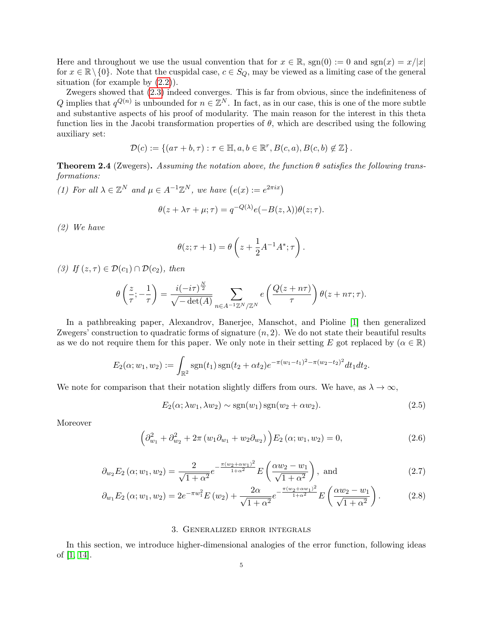Here and throughout we use the usual convention that for  $x \in \mathbb{R}$ ,  $sgn(0) := 0$  and  $sgn(x) = x/|x|$ for  $x \in \mathbb{R} \setminus \{0\}$ . Note that the cuspidal case,  $c \in S_Q$ , may be viewed as a limiting case of the general situation (for example by [\(2.2\)](#page-3-0)).

Zwegers showed that [\(2.3\)](#page-3-1) indeed converges. This is far from obvious, since the indefiniteness of Q implies that  $q^{Q(n)}$  is unbounded for  $n \in \mathbb{Z}^N$ . In fact, as in our case, this is one of the more subtle and substantive aspects of his proof of modularity. The main reason for the interest in this theta function lies in the Jacobi transformation properties of  $\theta$ , which are described using the following auxiliary set:

$$
\mathcal{D}(c) := \{ (a\tau + b, \tau) : \tau \in \mathbb{H}, a, b \in \mathbb{R}^r, B(c, a), B(c, b) \notin \mathbb{Z} \}.
$$

**Theorem 2.4** (Zwegers). Assuming the notation above, the function  $\theta$  satisfies the following transformations:

(1) For all  $\lambda \in \mathbb{Z}^N$  and  $\mu \in A^{-1}\mathbb{Z}^N$ , we have  $(e(x) := e^{2\pi ix})$ 

$$
\theta(z + \lambda \tau + \mu; \tau) = q^{-Q(\lambda)} e(-B(z, \lambda)) \theta(z; \tau).
$$

(2) We have

$$
\theta(z;\tau+1) = \theta\left(z + \frac{1}{2}A^{-1}A^*;\tau\right).
$$

(3) If  $(z, \tau) \in \mathcal{D}(c_1) \cap \mathcal{D}(c_2)$ , then

$$
\theta\left(\frac{z}{\tau}; -\frac{1}{\tau}\right) = \frac{i(-i\tau)^{\frac{N}{2}}}{\sqrt{-\det(A)}} \sum_{n \in A^{-1}\mathbb{Z}^N/\mathbb{Z}^N} e\left(\frac{Q(z+n\tau)}{\tau}\right) \theta(z+n\tau;\tau).
$$

In a pathbreaking paper, Alexandrov, Banerjee, Manschot, and Pioline [\[1\]](#page-20-6) then generalized Zwegers' construction to quadratic forms of signature  $(n, 2)$ . We do not state their beautiful results as we do not require them for this paper. We only note in their setting E got replaced by  $(\alpha \in \mathbb{R})$ 

$$
E_2(\alpha; w_1, w_2) := \int_{\mathbb{R}^2} \text{sgn}(t_1) \, \text{sgn}(t_2 + \alpha t_2) e^{-\pi (w_1 - t_1)^2 - \pi (w_2 - t_2)^2} dt_1 dt_2.
$$

We note for comparison that their notation slightly differs from ours. We have, as  $\lambda \to \infty$ ,

<span id="page-4-0"></span>
$$
E_2(\alpha; \lambda w_1, \lambda w_2) \sim \text{sgn}(w_1) \text{sgn}(w_2 + \alpha w_2). \tag{2.5}
$$

Moreover

<span id="page-4-1"></span>
$$
\left(\partial_{w_1}^2 + \partial_{w_2}^2 + 2\pi \left(w_1 \partial_{w_1} + w_2 \partial_{w_2}\right)\right) E_2\left(\alpha; w_1, w_2\right) = 0, \tag{2.6}
$$

$$
\partial_{w_2} E_2 \left( \alpha; w_1, w_2 \right) = \frac{2}{\sqrt{1 + \alpha^2}} e^{-\frac{\pi (w_2 + \alpha w_1)^2}{1 + \alpha^2}} E \left( \frac{\alpha w_2 - w_1}{\sqrt{1 + \alpha^2}} \right), \text{ and} \tag{2.7}
$$

$$
\partial_{w_1} E_2 \left( \alpha; w_1, w_2 \right) = 2e^{-\pi w_1^2} E \left( w_2 \right) + \frac{2\alpha}{\sqrt{1 + \alpha^2}} e^{-\frac{\pi (w_2 + \alpha w_1)^2}{1 + \alpha^2}} E \left( \frac{\alpha w_2 - w_1}{\sqrt{1 + \alpha^2}} \right). \tag{2.8}
$$

### <span id="page-4-3"></span><span id="page-4-2"></span>3. Generalized error integrals

In this section, we introduce higher-dimensional analogies of the error function, following ideas of [\[1,](#page-20-6) [14\]](#page-20-13).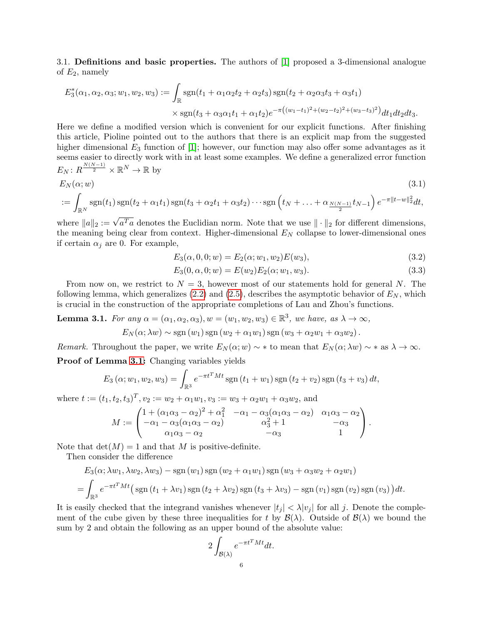3.1. Definitions and basic properties. The authors of [\[1\]](#page-20-6) proposed a 3-dimensional analogue of  $E_2$ , namely

$$
E_3^*(\alpha_1, \alpha_2, \alpha_3; w_1, w_2, w_3) := \int_{\mathbb{R}} \text{sgn}(t_1 + \alpha_1 \alpha_2 t_2 + \alpha_2 t_3) \text{sgn}(t_2 + \alpha_2 \alpha_3 t_3 + \alpha_3 t_1)
$$
  
 
$$
\times \text{sgn}(t_3 + \alpha_3 \alpha_1 t_1 + \alpha_1 t_2) e^{-\pi ((w_1 - t_1)^2 + (w_2 - t_2)^2 + (w_3 - t_3)^2)} dt_1 dt_2 dt_3.
$$

Here we define a modified version which is convenient for our explicit functions. After finishing this article, Pioline pointed out to the authors that there is an explicit map from the suggested higher dimensional  $E_3$  function of [\[1\]](#page-20-6); however, our function may also offer some advantages as it seems easier to directly work with in at least some examples. We define a generalized error function  $E_N\colon R^{\frac{N(N-1)}{2}}\times \mathbb{R}^N\to \mathbb{R}$  by

$$
E_N(\alpha; w) \tag{3.1}
$$

$$
:= \int_{\mathbb{R}^N} \mathrm{sgn}(t_1) \, \mathrm{sgn}(t_2 + \alpha_1 t_1) \, \mathrm{sgn}(t_3 + \alpha_2 t_1 + \alpha_3 t_2) \cdots \mathrm{sgn}\left(t_N + \ldots + \alpha_{\frac{N(N-1)}{2}} t_{N-1}\right) e^{-\pi ||t-w||_2^2} dt,
$$

where  $||a||_2 := \sqrt{a^T a}$  denotes the Euclidian norm. Note that we use  $|| \cdot ||_2$  for different dimensions, the meaning being clear from context. Higher-dimensional  $E<sub>N</sub>$  collapse to lower-dimensional ones if certain  $\alpha_i$  are 0. For example,

$$
E_3(\alpha, 0, 0; w) = E_2(\alpha; w_1, w_2) E(w_3),
$$
\n(3.2)

<span id="page-5-1"></span>
$$
E_3(0, \alpha, 0; w) = E(w_2)E_2(\alpha; w_1, w_3).
$$
\n(3.3)

From now on, we restrict to  $N = 3$ , however most of our statements hold for general N. The following lemma, which generalizes  $(2.2)$  and  $(2.5)$ , describes the asymptotic behavior of  $E<sub>N</sub>$ , which is crucial in the construction of the appropriate completions of Lau and Zhou's functions.

<span id="page-5-0"></span>**Lemma 3.1.** For any  $\alpha = (\alpha_1, \alpha_2, \alpha_3), w = (w_1, w_2, w_3) \in \mathbb{R}^3$ , we have, as  $\lambda \to \infty$ ,

$$
E_N(\alpha; \lambda w) \sim \text{sgn}(w_1) \text{sgn}(w_2 + \alpha_1 w_1) \text{sgn}(w_3 + \alpha_2 w_1 + \alpha_3 w_2).
$$

Remark. Throughout the paper, we write  $E_N(\alpha; w) \sim *$  to mean that  $E_N(\alpha; \lambda w) \sim *$  as  $\lambda \to \infty$ .

Proof of Lemma [3.1:](#page-5-0) Changing variables yields

$$
E_3(\alpha; w_1, w_2, w_3) = \int_{\mathbb{R}^3} e^{-\pi t^T M t} \operatorname{sgn}(t_1 + w_1) \operatorname{sgn}(t_2 + v_2) \operatorname{sgn}(t_3 + v_3) dt,
$$

where  $t := (t_1, t_2, t_3)^T, v_2 := w_2 + \alpha_1 w_1, v_3 := w_3 + \alpha_2 w_1 + \alpha_3 w_2$ , and

$$
M := \begin{pmatrix} 1 + (\alpha_1 \alpha_3 - \alpha_2)^2 + \alpha_1^2 & -\alpha_1 - \alpha_3(\alpha_1 \alpha_3 - \alpha_2) & \alpha_1 \alpha_3 - \alpha_2 \\ -\alpha_1 - \alpha_3(\alpha_1 \alpha_3 - \alpha_2) & \alpha_3^2 + 1 & -\alpha_3 \\ \alpha_1 \alpha_3 - \alpha_2 & -\alpha_3 & 1 \end{pmatrix}.
$$

Note that  $det(M) = 1$  and that M is positive-definite.

Then consider the difference

$$
E_3(\alpha; \lambda w_1, \lambda w_2, \lambda w_3) - \text{sgn}(w_1) \text{sgn}(w_2 + \alpha_1 w_1) \text{sgn}(w_3 + \alpha_3 w_2 + \alpha_2 w_1)
$$
  
= 
$$
\int_{\mathbb{R}^3} e^{-\pi t^T M t} \left( \text{sgn}(t_1 + \lambda v_1) \text{sgn}(t_2 + \lambda v_2) \text{sgn}(t_3 + \lambda v_3) - \text{sgn}(v_1) \text{sgn}(v_2) \text{sgn}(v_3) \right) dt.
$$

It is easily checked that the integrand vanishes whenever  $|t_i| < \lambda |v_i|$  for all j. Denote the complement of the cube given by these three inequalities for t by  $\mathcal{B}(\lambda)$ . Outside of  $\mathcal{B}(\lambda)$  we bound the sum by 2 and obtain the following as an upper bound of the absolute value:

$$
2\int_{\mathcal{B}(\lambda)} e^{-\pi t^T M t} dt.
$$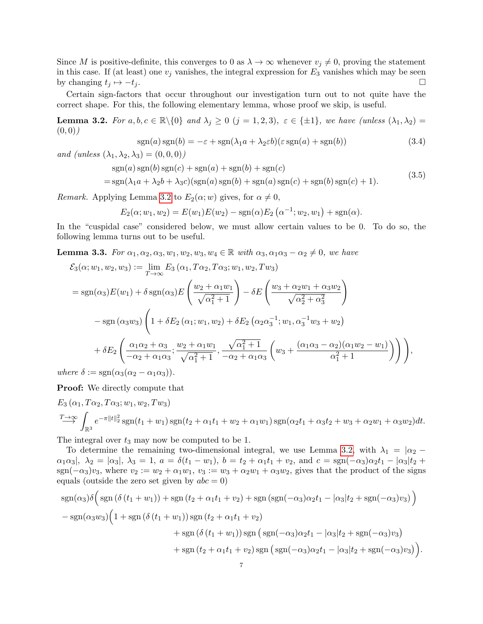Since M is positive-definite, this converges to 0 as  $\lambda \to \infty$  whenever  $v_j \neq 0$ , proving the statement in this case. If (at least) one  $v_j$  vanishes, the integral expression for  $E_3$  vanishes which may be seen by changing  $t_j \mapsto -t_j$ .

Certain sign-factors that occur throughout our investigation turn out to not quite have the correct shape. For this, the following elementary lemma, whose proof we skip, is useful.

<span id="page-6-0"></span>**Lemma 3.2.** For  $a, b, c \in \mathbb{R} \setminus \{0\}$  and  $\lambda_j \geq 0$   $(j = 1, 2, 3), \varepsilon \in \{\pm 1\}$ , we have (unless  $(\lambda_1, \lambda_2)$ )  $(0, 0)$ 

$$
sgn(a)sgn(b) = -\varepsilon + sgn(\lambda_1 a + \lambda_2 \varepsilon b)(\varepsilon sgn(a) + sgn(b))
$$
\n(3.4)

and (unless  $(\lambda_1, \lambda_2, \lambda_3) = (0, 0, 0)$ )

$$
sgn(a)sgn(b)sgn(c) + sgn(a) + sgn(b) + sgn(c)
$$
  
= 
$$
sgn(\lambda_1 a + \lambda_2 b + \lambda_3 c)(sgn(a)sgn(b) + sgn(a)sgn(c) + sgn(b)sgn(c) + 1).
$$
 (3.5)

*Remark.* Applying Lemma [3.2](#page-6-0) to  $E_2(\alpha; w)$  gives, for  $\alpha \neq 0$ ,

$$
E_2(\alpha; w_1, w_2) = E(w_1)E(w_2) - \text{sgn}(\alpha)E_2(\alpha^{-1}; w_2, w_1) + \text{sgn}(\alpha).
$$

In the "cuspidal case" considered below, we must allow certain values to be 0. To do so, the following lemma turns out to be useful.

<span id="page-6-1"></span>**Lemma 3.3.** For  $\alpha_1, \alpha_2, \alpha_3, w_1, w_2, w_3, w_4 \in \mathbb{R}$  with  $\alpha_3, \alpha_1\alpha_3 - \alpha_2 \neq 0$ , we have

$$
\mathcal{E}_{3}(\alpha; w_{1}, w_{2}, w_{3}) := \lim_{T \to \infty} E_{3}(\alpha_{1}, T\alpha_{2}, T\alpha_{3}; w_{1}, w_{2}, Tw_{3})
$$
\n
$$
= \text{sgn}(\alpha_{3}) E(w_{1}) + \delta \text{sgn}(\alpha_{3}) E\left(\frac{w_{2} + \alpha_{1}w_{1}}{\sqrt{\alpha_{1}^{2} + 1}}\right) - \delta E\left(\frac{w_{3} + \alpha_{2}w_{1} + \alpha_{3}w_{2}}{\sqrt{\alpha_{2}^{2} + \alpha_{3}^{2}}}\right)
$$
\n
$$
- \text{sgn}(\alpha_{3}w_{3}) \left(1 + \delta E_{2}(\alpha_{1}; w_{1}, w_{2}) + \delta E_{2}(\alpha_{2}\alpha_{3}^{-1}; w_{1}, \alpha_{3}^{-1}w_{3} + w_{2})\right)
$$
\n
$$
+ \delta E_{2} \left(\frac{\alpha_{1}\alpha_{2} + \alpha_{3}}{-\alpha_{2} + \alpha_{1}\alpha_{3}}; \frac{w_{2} + \alpha_{1}w_{1}}{\sqrt{\alpha_{1}^{2} + 1}}, \frac{\sqrt{\alpha_{1}^{2} + 1}}{-\alpha_{2} + \alpha_{1}\alpha_{3}}\left(w_{3} + \frac{(\alpha_{1}\alpha_{3} - \alpha_{2})(\alpha_{1}w_{2} - w_{1})}{\alpha_{1}^{2} + 1}\right)\right),
$$
\n
$$
= \text{sgn}(\alpha_{3}(\alpha_{3} - \alpha_{3}\alpha_{3}))
$$

where  $\delta := \text{sgn}(\alpha_3(\alpha_2 - \alpha_1\alpha_3)).$ 

Proof: We directly compute that

$$
E_3(\alpha_1, T\alpha_2, T\alpha_3; w_1, w_2, Tw_3)
$$
  

$$
\longrightarrow^T \int_{\mathbb{R}^3} e^{-\pi ||t||_2^2} \operatorname{sgn}(t_1 + w_1) \operatorname{sgn}(t_2 + \alpha_1 t_1 + w_2 + \alpha_1 w_1) \operatorname{sgn}(\alpha_2 t_1 + \alpha_3 t_2 + w_3 + \alpha_2 w_1 + \alpha_3 w_2) dt.
$$

The integral over  $t_3$  may now be computed to be 1.

To determine the remaining two-dimensional integral, we use Lemma [3.2,](#page-6-0) with  $\lambda_1 = |\alpha_2 - \alpha_3|$  $\alpha_1\alpha_3$ ,  $\lambda_2 = |\alpha_3|$ ,  $\lambda_3 = 1$ ,  $a = \delta(t_1 - w_1)$ ,  $b = t_2 + \alpha_1t_1 + v_2$ , and  $c = \text{sgn}(-\alpha_3)\alpha_2t_1 - |\alpha_3|t_2 +$ sgn( $-\alpha_3$ )v<sub>3</sub>, where  $v_2 := w_2 + \alpha_1 w_1$ ,  $v_3 := w_3 + \alpha_2 w_1 + \alpha_3 w_2$ , gives that the product of the signs equals (outside the zero set given by  $abc = 0$ )

$$
sgn(\alpha_3)\delta\Big(sgn(\delta (t_1 + w_1)) + sgn(t_2 + \alpha_1 t_1 + v_2) + sgn(sgn(-\alpha_3)\alpha_2 t_1 - |\alpha_3|t_2 + sgn(-\alpha_3)v_3)\Big) - sgn(\alpha_3w_3)\Big(1 + sgn(\delta (t_1 + w_1)) sgn(t_2 + \alpha_1 t_1 + v_2) + sgn(\delta (t_1 + w_1)) sgn(sgn(-\alpha_3)\alpha_2 t_1 - |\alpha_3|t_2 + sgn(-\alpha_3)v_3) + sgn(t_2 + \alpha_1 t_1 + v_2) sgn(sgn(-\alpha_3)\alpha_2 t_1 - |\alpha_3|t_2 + sgn(-\alpha_3)v_3)\Big).
$$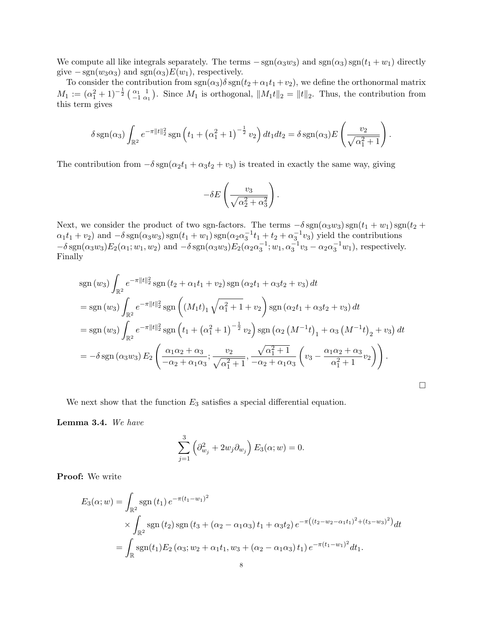We compute all like integrals separately. The terms  $-\text{sgn}(\alpha_3w_3)$  and  $\text{sgn}(\alpha_3)\text{sgn}(t_1+w_1)$  directly give  $-\text{sgn}(w_3\alpha_3)$  and  $\text{sgn}(\alpha_3)E(w_1)$ , respectively.

To consider the contribution from  $sgn(\alpha_3)\delta sgn(t_2 + \alpha_1t_1 + \nu_2)$ , we define the orthonormal matrix  $M_1 := (\alpha_1^2 + 1)^{-\frac{1}{2}} \left( \begin{array}{cc} \alpha_1 & 1 \\ -1 & \alpha_1 \end{array} \right)$ . Since  $M_1$  is orthogonal,  $||M_1t||_2 = ||t||_2$ . Thus, the contribution from this term gives

$$
\delta \operatorname{sgn}(\alpha_3) \int_{\mathbb{R}^2} e^{-\pi ||t||_2^2} \operatorname{sgn}\left(t_1 + \left(\alpha_1^2 + 1\right)^{-\frac{1}{2}} v_2\right) dt_1 dt_2 = \delta \operatorname{sgn}(\alpha_3) E\left(\frac{v_2}{\sqrt{\alpha_1^2 + 1}}\right).
$$

The contribution from  $-\delta \text{sgn}(\alpha_2 t_1 + \alpha_3 t_2 + v_3)$  is treated in exactly the same way, giving

$$
-\delta E \left(\frac{v_3}{\sqrt{\alpha_2^2 + \alpha_3^2}}\right).
$$

Next, we consider the product of two sgn-factors. The terms  $-\delta \text{sgn}(\alpha_3w_3) \text{sgn}(t_1+w_1) \text{sgn}(t_2 +$  $\alpha_1t_1+v_2$ ) and  $-\delta \text{sgn}(\alpha_3w_3)\text{sgn}(t_1+w_1)\text{sgn}(\alpha_2\alpha_3^{-1}t_1+t_2+\alpha_3^{-1}v_3)$  yield the contributions  $-\delta \operatorname{sgn}(\alpha_3 w_3) E_2(\alpha_1; w_1, w_2)$  and  $-\delta \operatorname{sgn}(\alpha_3 w_3) E_2(\alpha_2 \alpha_3^{-1}; w_1, \alpha_3^{-1} v_3 - \alpha_2 \alpha_3^{-1} w_1)$ , respectively. Finally

$$
sgn(w_3) \int_{\mathbb{R}^2} e^{-\pi ||t||_2^2} sgn(t_2 + \alpha_1 t_1 + v_2) sgn(\alpha_2 t_1 + \alpha_3 t_2 + v_3) dt
$$
  
\n
$$
= sgn(w_3) \int_{\mathbb{R}^2} e^{-\pi ||t||_2^2} sgn((M_1 t)_1 \sqrt{\alpha_1^2 + 1} + v_2) sgn(\alpha_2 t_1 + \alpha_3 t_2 + v_3) dt
$$
  
\n
$$
= sgn(w_3) \int_{\mathbb{R}^2} e^{-\pi ||t||_2^2} sgn(t_1 + (\alpha_1^2 + 1)^{-\frac{1}{2}} v_2) sgn(\alpha_2 (M^{-1} t)_1 + \alpha_3 (M^{-1} t)_2 + v_3) dt
$$
  
\n
$$
= -\delta sgn(\alpha_3 w_3) E_2 \left( \frac{\alpha_1 \alpha_2 + \alpha_3}{-\alpha_2 + \alpha_1 \alpha_3}; \frac{v_2}{\sqrt{\alpha_1^2 + 1}}, \frac{\sqrt{\alpha_1^2 + 1}}{-\alpha_2 + \alpha_1 \alpha_3} (v_3 - \frac{\alpha_1 \alpha_2 + \alpha_3}{\alpha_1^2 + 1} v_2) \right).
$$

 $\Box$ 

We next show that the function  $E_3$  satisfies a special differential equation.

<span id="page-7-0"></span>Lemma 3.4. We have

$$
\sum_{j=1}^{3} \left( \partial_{w_j}^2 + 2w_j \partial_{w_j} \right) E_3(\alpha; w) = 0.
$$

Proof: We write

$$
E_3(\alpha; w) = \int_{\mathbb{R}^2} \operatorname{sgn}(t_1) e^{-\pi (t_1 - w_1)^2}
$$
  
\$\times \int\_{\mathbb{R}^2} \operatorname{sgn}(t\_2) \operatorname{sgn}(t\_3 + (\alpha\_2 - \alpha\_1 \alpha\_3) t\_1 + \alpha\_3 t\_2) e^{-\pi ((t\_2 - w\_2 - \alpha\_1 t\_1)^2 + (t\_3 - w\_3)^2)} dt\$  
= 
$$
\int_{\mathbb{R}} \operatorname{sgn}(t_1) E_2(\alpha_3; w_2 + \alpha_1 t_1, w_3 + (\alpha_2 - \alpha_1 \alpha_3) t_1) e^{-\pi (t_1 - w_1)^2} dt_1.
$$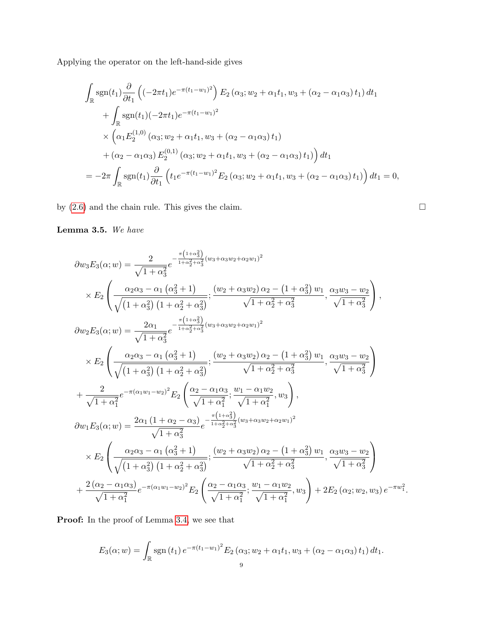Applying the operator on the left-hand-side gives

$$
\int_{\mathbb{R}} sgn(t_1) \frac{\partial}{\partial t_1} \left( (-2\pi t_1) e^{-\pi (t_1 - w_1)^2} \right) E_2 (\alpha_3; w_2 + \alpha_1 t_1, w_3 + (\alpha_2 - \alpha_1 \alpha_3) t_1) dt_1 \n+ \int_{\mathbb{R}} sgn(t_1) (-2\pi t_1) e^{-\pi (t_1 - w_1)^2} \n\times (\alpha_1 E_2^{(1,0)} (\alpha_3; w_2 + \alpha_1 t_1, w_3 + (\alpha_2 - \alpha_1 \alpha_3) t_1) \n+ (\alpha_2 - \alpha_1 \alpha_3) E_2^{(0,1)} (\alpha_3; w_2 + \alpha_1 t_1, w_3 + (\alpha_2 - \alpha_1 \alpha_3) t_1) \right) dt_1 \n= -2\pi \int_{\mathbb{R}} sgn(t_1) \frac{\partial}{\partial t_1} \left( t_1 e^{-\pi (t_1 - w_1)^2} E_2 (\alpha_3; w_2 + \alpha_1 t_1, w_3 + (\alpha_2 - \alpha_1 \alpha_3) t_1) \right) dt_1 = 0,
$$

by [\(2.6\)](#page-4-1) and the chain rule. This gives the claim.

Lemma 3.5. We have

$$
\partial w_{3}E_{3}(\alpha; w) = \frac{2}{\sqrt{1 + \alpha_{3}^{2}}} e^{-\frac{\pi (1 + \alpha_{3}^{2})}{1 + \alpha_{2}^{2} + \alpha_{3}^{2}} (w_{3} + \alpha_{3}w_{2} + \alpha_{2}w_{1})^{2}} \times E_{2} \left( \frac{\alpha_{2}\alpha_{3} - \alpha_{1}(\alpha_{3}^{2} + 1)}{\sqrt{(1 + \alpha_{3}^{2}) (1 + \alpha_{2}^{2} + \alpha_{3}^{2})}}; \frac{(w_{2} + \alpha_{3}w_{2}) \alpha_{2} - (1 + \alpha_{3}^{2}) w_{1}}{\sqrt{1 + \alpha_{2}^{2} + \alpha_{3}^{2}}}, \frac{\alpha_{3}w_{3} - w_{2}}{\sqrt{1 + \alpha_{3}^{2}}}\right),
$$
  
\n
$$
\partial w_{2}E_{3}(\alpha; w) = \frac{2\alpha_{1}}{\sqrt{1 + \alpha_{3}^{2}}} e^{-\frac{\pi (1 + \alpha_{3}^{2})}{1 + \alpha_{2}^{2} + \alpha_{3}^{2}} (w_{3} + \alpha_{3}w_{2} + \alpha_{2}w_{1})^{2}} \times E_{2} \left( \frac{\alpha_{2}\alpha_{3} - \alpha_{1}(\alpha_{3}^{2} + 1)}{\sqrt{(1 + \alpha_{3}^{2}) (1 + \alpha_{2}^{2} + \alpha_{3}^{2})}}; \frac{(w_{2} + \alpha_{3}w_{2}) \alpha_{2} - (1 + \alpha_{3}^{2}) w_{1}}{\sqrt{1 + \alpha_{2}^{2} + \alpha_{3}^{2}}}, \frac{\alpha_{3}w_{3} - w_{2}}{\sqrt{1 + \alpha_{3}^{2}}}\right) + \frac{2}{\sqrt{1 + \alpha_{1}^{2}}} e^{-\pi (\alpha_{1}w_{1} - w_{2})^{2}} E_{2} \left( \frac{\alpha_{2} - \alpha_{1}\alpha_{3}}{\sqrt{1 + \alpha_{1}^{2}}}; \frac{w_{1} - \alpha_{1}w_{2}}{\sqrt{1 + \alpha_{1}^{2}}}, w_{3}\right),
$$
  
\n
$$
\partial w_{1}E_{3}(\alpha; w) = \frac{2\alpha_{1} (1 + \alpha_{2} - \alpha_{3})}{\sqrt{1 + \alpha_{3}^{2}}} e^{-\frac{\pi (1 + \alpha_{3}^{2})}{1 + \alpha_{2}^{2} + \alpha_{3}^{2
$$

Proof: In the proof of Lemma [3.4,](#page-7-0) we see that

$$
E_3(\alpha; w) = \int_{\mathbb{R}} \operatorname{sgn}(t_1) e^{-\pi (t_1 - w_1)^2} E_2(\alpha_3; w_2 + \alpha_1 t_1, w_3 + (\alpha_2 - \alpha_1 \alpha_3) t_1) dt_1.
$$

$$
\mathcal{L}_{\mathcal{A}}
$$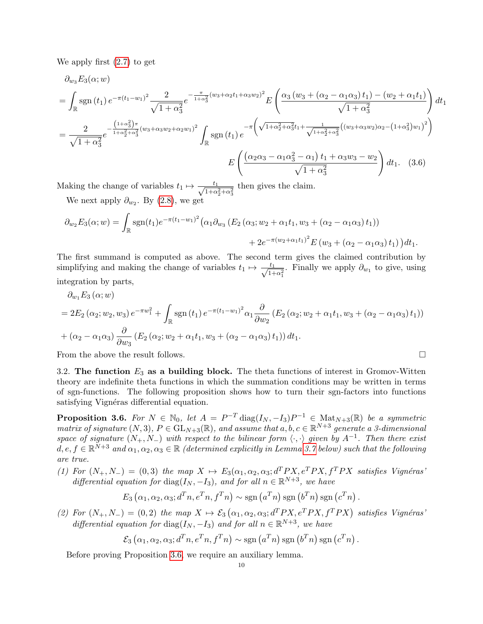We apply first [\(2.7\)](#page-4-2) to get

$$
\partial_{w_3} E_3(\alpha; w) = \int_{\mathbb{R}} \operatorname{sgn}(t_1) e^{-\pi (t_1 - w_1)^2} \frac{2}{\sqrt{1 + \alpha_3^2}} e^{-\frac{\pi}{1 + \alpha_3^2} (w_3 + \alpha_2 t_1 + \alpha_3 w_2)^2} E\left(\frac{\alpha_3 (w_3 + (\alpha_2 - \alpha_1 \alpha_3) t_1) - (w_2 + \alpha_1 t_1)}{\sqrt{1 + \alpha_3^2}}\right) dt_1
$$

$$
= \frac{2}{\sqrt{1 + \alpha_3^2}} e^{-\frac{(1 + \alpha_3^2)\pi}{1 + \alpha_2^2 + \alpha_3^2} (w_3 + \alpha_3 w_2 + \alpha_2 w_1)^2} \int_{\mathbb{R}} \operatorname{sgn}(t_1) e^{-\pi \left(\sqrt{1 + \alpha_2^2 + \alpha_3^2} t_1 + \frac{1}{\sqrt{1 + \alpha_2^2 + \alpha_3^2}} ((w_3 + \alpha_3 w_2) \alpha_2 - (1 + \alpha_3^2) w_1)^2\right)}
$$

$$
E\left(\frac{(\alpha_2 \alpha_3 - \alpha_1 \alpha_3^2 - \alpha_1) t_1 + \alpha_3 w_3 - w_2}{\sqrt{1 + \alpha_3^2}}\right) dt_1. (3.6)
$$

Making the change of variables  $t_1 \mapsto \frac{t_1}{\sqrt{1+t_1}}$  $\frac{t_1}{1+\alpha_2^2+\alpha_3^2}$  then gives the claim. We next apply  $\partial_{w_2}$ . By [\(2.8\)](#page-4-3), we get

$$
\partial_{w_2} E_3(\alpha; w) = \int_{\mathbb{R}} \text{sgn}(t_1) e^{-\pi (t_1 - w_1)^2} \left( \alpha_1 \partial_{w_3} \left( E_2 \left( \alpha_3; w_2 + \alpha_1 t_1, w_3 + (\alpha_2 - \alpha_1 \alpha_3) t_1 \right) \right) \right. \\ \left. + 2e^{-\pi (w_2 + \alpha_1 t_1)^2} E \left( w_3 + (\alpha_2 - \alpha_1 \alpha_3) t_1 \right) \right) dt_1.
$$

The first summand is computed as above. The second term gives the claimed contribution by simplifying and making the change of variables  $t_1 \mapsto \frac{t_1}{\sqrt{1-t_1}}$  $\frac{t_1}{1+\alpha_1^2}$ . Finally we apply  $\partial_{w_1}$  to give, using integration by parts,

$$
\partial_{w_1} E_3(\alpha; w) \n= 2E_2(\alpha_2; w_2, w_3) e^{-\pi w_1^2} + \int_{\mathbb{R}} \text{sgn}(t_1) e^{-\pi (t_1 - w_1)^2} \alpha_1 \frac{\partial}{\partial w_2} (E_2(\alpha_2; w_2 + \alpha_1 t_1, w_3 + (\alpha_2 - \alpha_1 \alpha_3) t_1)) \n+ (\alpha_2 - \alpha_1 \alpha_3) \frac{\partial}{\partial w_3} (E_2(\alpha_2; w_2 + \alpha_1 t_1, w_3 + (\alpha_2 - \alpha_1 \alpha_3) t_1)) dt_1.
$$

From the above the result follows.  $\Box$ 

3.2. The function  $E_3$  as a building block. The theta functions of interest in Gromov-Witten theory are indefinite theta functions in which the summation conditions may be written in terms of sgn-functions. The following proposition shows how to turn their sgn-factors into functions satisfying Vignéras differential equation.

<span id="page-9-0"></span>**Proposition 3.6.** For  $N \in \mathbb{N}_0$ , let  $A = P^{-T} \text{diag}(I_N, -I_3) P^{-1} \in \text{Mat}_{N+3}(\mathbb{R})$  be a symmetric matrix of signature  $(N,3)$ ,  $P \in GL_{N+3}(\mathbb{R})$ , and assume that  $a, b, c \in \mathbb{R}^{N+3}$  generate a 3-dimensional space of signature  $(N_+, N_-)$  with respect to the bilinear form  $\langle \cdot, \cdot \rangle$  given by  $A^{-1}$ . Then there exist  $d, e, f \in \mathbb{R}^{N+3}$  and  $\alpha_1, \alpha_2, \alpha_3 \in \mathbb{R}$  (determined explicitly in Lemma [3.7](#page-10-0) below) such that the following are true.

(1) For  $(N_+, N_-) = (0, 3)$  the map  $X \mapsto E_3(\alpha_1, \alpha_2, \alpha_3; d^T P X, e^T P X, f^T P X$  satisfies Vignéras' differential equation for  $diag(I_N, -I_3)$ , and for all  $n \in \mathbb{R}^{N+3}$ , we have

$$
E_3(\alpha_1, \alpha_2, \alpha_3; d^T n, e^T n, f^T n) \sim \text{sgn}(a^T n) \text{sgn}(b^T n) \text{sgn}(c^T n).
$$

(2) For  $(N_+, N_-) = (0, 2)$  the map  $X \mapsto \mathcal{E}_3(\alpha_1, \alpha_2, \alpha_3; d^T P X, e^T P X, f^T P X)$  satisfies Vignéras' differential equation for  $diag(I_N, -I_3)$  and for all  $n \in \mathbb{R}^{N+3}$ , we have

$$
\mathcal{E}_3(\alpha_1, \alpha_2, \alpha_3; d^T n, e^T n, f^T n) \sim \text{sgn}(a^T n) \text{sgn}(b^T n) \text{sgn}(c^T n).
$$

Before proving Proposition [3.6,](#page-9-0) we require an auxiliary lemma.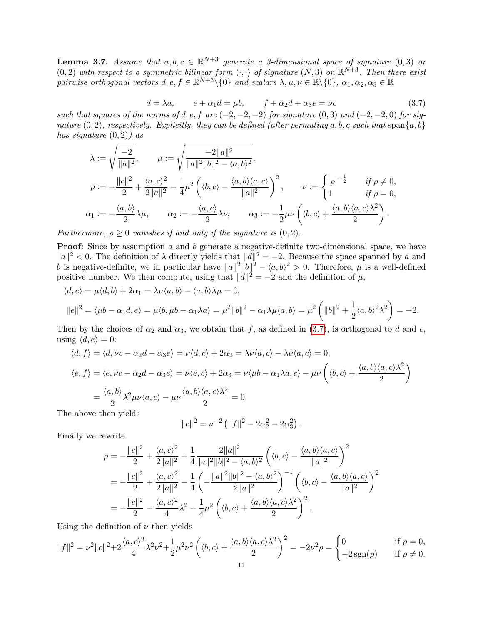<span id="page-10-0"></span>**Lemma 3.7.** Assume that  $a, b, c \in \mathbb{R}^{N+3}$  generate a 3-dimensional space of signature  $(0, 3)$  or  $(0, 2)$  with respect to a symmetric bilinear form  $\langle \cdot, \cdot \rangle$  of signature  $(N, 3)$  on  $\mathbb{R}^{N+3}$ . Then there exist pairwise orthogonal vectors  $d, e, f \in \mathbb{R}^{N+3} \setminus \{0\}$  and scalars  $\lambda, \mu, \nu \in \mathbb{R} \setminus \{0\}, \alpha_1, \alpha_2, \alpha_3 \in \mathbb{R}$ 

<span id="page-10-1"></span>
$$
d = \lambda a, \qquad e + \alpha_1 d = \mu b, \qquad f + \alpha_2 d + \alpha_3 e = \nu c \tag{3.7}
$$

such that squares of the norms of d, e, f are  $(-2, -2, -2)$  for signature  $(0, 3)$  and  $(-2, -2, 0)$  for signature  $(0, 2)$ , respectively. Explicitly, they can be defined (after permuting a, b, c such that span $\{a, b\}$ ) has signature  $(0, 2)$  as

$$
\begin{aligned}\n\lambda &:= \sqrt{\frac{-2}{\|a\|^2}}, \qquad \mu := \sqrt{\frac{-2\|a\|^2}{\|a\|^2\|b\|^2 - \langle a, b \rangle^2}}, \\
\rho &:= -\frac{\|c\|^2}{2} + \frac{\langle a, c \rangle^2}{2\|a\|^2} - \frac{1}{4} \mu^2 \left( \langle b, c \rangle - \frac{\langle a, b \rangle \langle a, c \rangle}{\|a\|^2} \right)^2, \qquad \nu &:= \begin{cases} |\rho|^{-\frac{1}{2}} & \text{if } \rho \neq 0, \\ 1 & \text{if } \rho = 0, \end{cases} \\
\alpha_1 &:= -\frac{\langle a, b \rangle}{2} \lambda \mu, \qquad \alpha_2 &:= -\frac{\langle a, c \rangle}{2} \lambda \nu, \qquad \alpha_3 &:= -\frac{1}{2} \mu \nu \left( \langle b, c \rangle + \frac{\langle a, b \rangle \langle a, c \rangle \lambda^2}{2} \right).\n\end{aligned}
$$

Furthermore,  $\rho \geq 0$  vanishes if and only if the signature is  $(0, 2)$ .

**Proof:** Since by assumption a and b generate a negative-definite two-dimensional space, we have  $||a||^2 < 0$ . The definition of  $\lambda$  directly yields that  $||d||^2 = -2$ . Because the space spanned by a and b is negative-definite, we in particular have  $||a||^2||b||^2 - \langle a, b \rangle^2 > 0$ . Therefore,  $\mu$  is a well-defined positive number. We then compute, using that  $||d||^2 = -2$  and the definition of  $\mu$ ,

$$
\langle d, e \rangle = \mu \langle d, b \rangle + 2\alpha_1 = \lambda \mu \langle a, b \rangle - \langle a, b \rangle \lambda \mu = 0,
$$
  
 
$$
||e||^2 = \langle \mu b - \alpha_1 d, e \rangle = \mu \langle b, \mu b - \alpha_1 \lambda a \rangle = \mu^2 ||b||^2 - \alpha_1 \lambda \mu \langle a, b \rangle = \mu^2 \left( ||b||^2 + \frac{1}{2} \langle a, b \rangle^2 \lambda^2 \right) = -2.
$$

Then by the choices of  $\alpha_2$  and  $\alpha_3$ , we obtain that f, as defined in [\(3.7\)](#page-10-1), is orthogonal to d and e, using  $\langle d, e \rangle = 0$ :

$$
\langle d, f \rangle = \langle d, \nu c - \alpha_2 d - \alpha_3 e \rangle = \nu \langle d, c \rangle + 2\alpha_2 = \lambda \nu \langle a, c \rangle - \lambda \nu \langle a, c \rangle = 0,
$$
  

$$
\langle e, f \rangle = \langle e, \nu c - \alpha_2 d - \alpha_3 e \rangle = \nu \langle e, c \rangle + 2\alpha_3 = \nu \langle \mu b - \alpha_1 \lambda a, c \rangle - \mu \nu \left( \langle b, c \rangle + \frac{\langle a, b \rangle \langle a, c \rangle \lambda^2}{2} \right)
$$
  

$$
= \frac{\langle a, b \rangle}{2} \lambda^2 \mu \nu \langle a, c \rangle - \mu \nu \frac{\langle a, b \rangle \langle a, c \rangle \lambda^2}{2} = 0.
$$

The above then yields

$$
||c||^2 = \nu^{-2} (||f||^2 - 2\alpha_2^2 - 2\alpha_3^2).
$$

Finally we rewrite

$$
\rho = -\frac{\|c\|^2}{2} + \frac{\langle a, c \rangle^2}{2\|a\|^2} + \frac{1}{4} \frac{2\|a\|^2}{\|a\|^2 \|b\|^2 - \langle a, b \rangle^2} \left( \langle b, c \rangle - \frac{\langle a, b \rangle \langle a, c \rangle}{\|a\|^2} \right)^2
$$
  
= 
$$
-\frac{\|c\|^2}{2} + \frac{\langle a, c \rangle^2}{2\|a\|^2} - \frac{1}{4} \left( -\frac{\|a\|^2 \|b\|^2 - \langle a, b \rangle^2}{2\|a\|^2} \right)^{-1} \left( \langle b, c \rangle - \frac{\langle a, b \rangle \langle a, c \rangle}{\|a\|^2} \right)^2
$$
  
= 
$$
-\frac{\|c\|^2}{2} - \frac{\langle a, c \rangle^2}{4} \lambda^2 - \frac{1}{4} \mu^2 \left( \langle b, c \rangle + \frac{\langle a, b \rangle \langle a, c \rangle \lambda^2}{2} \right)^2.
$$

Using the definition of  $\nu$  then yields

$$
||f||^2 = \nu^2 ||c||^2 + 2\frac{\langle a,c\rangle^2}{4}\lambda^2 \nu^2 + \frac{1}{2}\mu^2 \nu^2 \left(\langle b,c\rangle + \frac{\langle a,b\rangle \langle a,c\rangle \lambda^2}{2}\right)^2 = -2\nu^2 \rho = \begin{cases} 0 & \text{if } \rho = 0, \\ -2\operatorname{sgn}(\rho) & \text{if } \rho \neq 0. \end{cases}
$$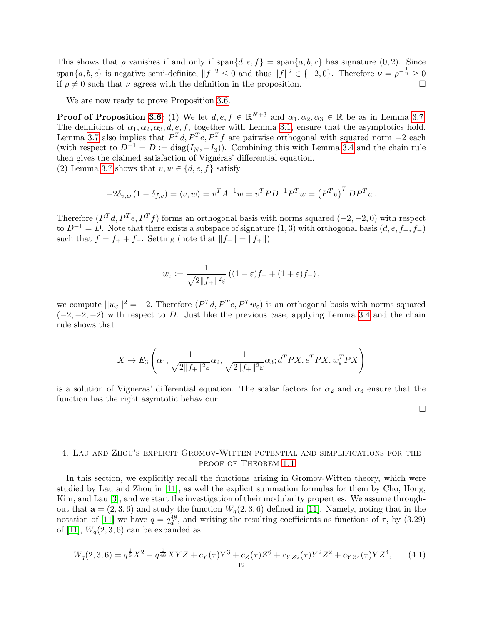This shows that  $\rho$  vanishes if and only if span $\{d, e, f\} = \text{span}\{a, b, c\}$  has signature  $(0, 2)$ . Since span $\{a, b, c\}$  is negative semi-definite,  $||f||^2 \leq 0$  and thus  $||f||^2 \in \{-2, 0\}$ . Therefore  $\nu = \rho^{-\frac{1}{2}} \geq 0$ if  $\rho \neq 0$  such that  $\nu$  agrees with the definition in the proposition.

We are now ready to prove Proposition [3.6.](#page-9-0)

**Proof of Proposition [3.6:](#page-9-0)** (1) We let  $d, e, f \in \mathbb{R}^{N+3}$  and  $\alpha_1, \alpha_2, \alpha_3 \in \mathbb{R}$  be as in Lemma [3.7.](#page-10-0) The definitions of  $\alpha_1, \alpha_2, \alpha_3, d, e, f$ , together with Lemma [3.1,](#page-5-0) ensure that the asymptotics hold. Lemma [3.7](#page-10-0) also implies that  $P^{T}d, P^{T}e, P^{T}f$  are pairwise orthogonal with squared norm  $-2$  each (with respect to  $D^{-1} = D := diag(I_N, -I_3)$ ). Combining this with Lemma [3.4](#page-7-0) and the chain rule then gives the claimed satisfaction of Vignéras' differential equation. (2) Lemma [3.7](#page-10-0) shows that  $v, w \in \{d, e, f\}$  satisfy

$$
-2\delta_{v,w} (1 - \delta_{f,v}) = \langle v, w \rangle = v^T A^{-1} w = v^T P D^{-1} P^T w = (P^T v)^T D P^T w.
$$

Therefore  $(P^T d, P^T e, P^T f)$  forms an orthogonal basis with norms squared  $(-2, -2, 0)$  with respect to  $D^{-1} = D$ . Note that there exists a subspace of signature (1, 3) with orthogonal basis  $(d, e, f_+, f_-)$ such that  $f = f_+ + f_-.$  Setting (note that  $||f_-\|| = ||f_+\||$ )

$$
w_{\varepsilon} := \frac{1}{\sqrt{2\|f_+\|^2 \varepsilon}} \left( (1 - \varepsilon)f_+ + (1 + \varepsilon)f_- \right),
$$

we compute  $||w_{\varepsilon}||^2 = -2$ . Therefore  $(P^T d, P^T e, P^T w_{\varepsilon})$  is an orthogonal basis with norms squared  $(-2, -2, -2)$  with respect to D. Just like the previous case, applying Lemma [3.4](#page-7-0) and the chain rule shows that

$$
X \mapsto E_3\left(\alpha_1, \frac{1}{\sqrt{2\|f_+\|^2 \varepsilon}}\alpha_2, \frac{1}{\sqrt{2\|f_+\|^2 \varepsilon}}\alpha_3; d^TPX, e^TPX, w_{\varepsilon}^TPX\right)
$$

is a solution of Vigneras' differential equation. The scalar factors for  $\alpha_2$  and  $\alpha_3$  ensure that the function has the right asymtotic behaviour.

 $\Box$ 

# 4. Lau and Zhou's explicit Gromov-Witten potential and simplifications for the PROOF OF THEOREM [1.1](#page-1-0)

In this section, we explicitly recall the functions arising in Gromov-Witten theory, which were studied by Lau and Zhou in [\[11\]](#page-20-2), as well the explicit summation formulas for them by Cho, Hong, Kim, and Lau [\[3\]](#page-20-1), and we start the investigation of their modularity properties. We assume throughout that  $a = (2, 3, 6)$  and study the function  $W_q(2, 3, 6)$  defined in [\[11\]](#page-20-2). Namely, noting that in the notation of [\[11\]](#page-20-2) we have  $q = q_d^{48}$ , and writing the resulting coefficients as functions of  $\tau$ , by (3.29) of [\[11\]](#page-20-2),  $W<sub>a</sub>(2,3,6)$  can be expanded as

$$
W_q(2,3,6) = q^{\frac{1}{8}}X^2 - q^{\frac{1}{48}}XYZ + c_Y(\tau)Y^3 + c_Z(\tau)Z^6 + c_{YZ2}(\tau)Y^2Z^2 + c_{YZ4}(\tau)YZ^4, \qquad (4.1)
$$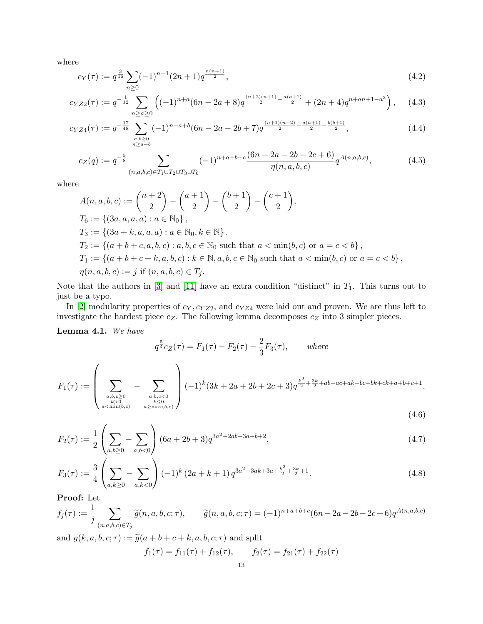where

$$
c_Y(\tau) := q^{\frac{3}{16}} \sum_{n \ge 0} (-1)^{n+1} (2n+1) q^{\frac{n(n+1)}{2}}, \tag{4.2}
$$

$$
c_{YZ2}(\tau) := q^{-\frac{1}{12}} \sum_{n \ge a \ge 0} \left( (-1)^{n+a} (6n - 2a + 8) q^{\frac{(n+2)(n+1)}{2} - \frac{a(a+1)}{2}} + (2n+4) q^{n+an+1-a^2} \right), \quad (4.3)
$$

$$
c_{YZ4}(\tau) := q^{-\frac{17}{48}} \sum_{\substack{a,b \ge 0 \\ n \ge a+b}} (-1)^{n+a+b} (6n - 2a - 2b + 7) q^{\frac{(n+1)(n+2)}{2} - \frac{a(a+1)}{2} - \frac{b(b+1)}{2}}, \tag{4.4}
$$

<span id="page-12-0"></span>
$$
c_Z(q) := q^{-\frac{5}{8}} \sum_{(n,a,b,c) \in T_1 \cup T_2 \cup T_3 \cup T_6} (-1)^{n+a+b+c} \frac{(6n-2a-2b-2c+6)}{\eta(n,a,b,c)} q^{A(n,a,b,c)}, \tag{4.5}
$$

where

$$
A(n, a, b, c) := {n+2 \choose 2} - {a+1 \choose 2} - {b+1 \choose 2} - {c+1 \choose 2},
$$
  
\n
$$
T_6 := \{(3a, a, a, a) : a \in \mathbb{N}_0\},
$$
  
\n
$$
T_3 := \{(3a + k, a, a, a) : a \in \mathbb{N}_0, k \in \mathbb{N}\},
$$
  
\n
$$
T_2 := \{(a + b + c, a, b, c) : a, b, c \in \mathbb{N}_0 \text{ such that } a < \min(b, c) \text{ or } a = c < b\},
$$
  
\n
$$
T_1 := \{(a + b + c + k, a, b, c) : k \in \mathbb{N}, a, b, c \in \mathbb{N}_0 \text{ such that } a < \min(b, c) \text{ or } a = c < b\},
$$
  
\n
$$
\eta(n, a, b, c) := j \text{ if } (n, a, b, c) \in T_j.
$$

Note that the authors in  $[3]$  and  $[11]$  have an extra condition "distinct" in  $T_1$ . This turns out to just be a typo.

In [\[2\]](#page-20-5) modularity properties of  $c_Y, c_{YZ2}$ , and  $c_{YZ4}$  were laid out and proven. We are thus left to investigate the hardest piece  $c_Z$ . The following lemma decomposes  $c_Z$  into 3 simpler pieces.

Lemma 4.1. We have

$$
q^{\frac{5}{4}}c_{Z}(\tau) = F_{1}(\tau) - F_{2}(\tau) - \frac{2}{3}F_{3}(\tau), \quad \text{where}
$$

$$
F_{1}(\tau) := \left(\sum_{\substack{a,b,c \ge 0 \\ b>0 \\ a < \min(b,c)}} - \sum_{\substack{a,b,c < 0 \\ b \le 0 \\ a \ge \max(b,c)}} \right) (-1)^{k} (3k + 2a + 2b + 2c + 3) q^{\frac{k^{2}}{2} + \frac{3k}{2} + ab + ac + ak + bc + bk + ck + a + b + c + 1},
$$
\n
$$
(4.6)
$$

$$
F_2(\tau) := \frac{1}{2} \left( \sum_{a,b \ge 0} - \sum_{a,b < 0} \right) (6a + 2b + 3) q^{3a^2 + 2ab + 3a + b + 2}, \tag{4.7}
$$

$$
F_3(\tau) := \frac{3}{4} \left( \sum_{a,k \ge 0} - \sum_{a,k < 0} \right) (-1)^k (2a + k + 1) q^{3a^2 + 3ak + 3a + \frac{k^2}{2} + \frac{3k}{2} + 1}.
$$
\n(4.8)

Proof: Let

$$
f_j(\tau) := \frac{1}{j} \sum_{(n,a,b,c) \in T_j} \widetilde{g}(n,a,b,c;\tau), \qquad \widetilde{g}(n,a,b,c;\tau) = (-1)^{n+a+b+c} (6n - 2a - 2b - 2c + 6) q^{A(n,a,b,c)}
$$

and  $g(k, a, b, c; \tau) := \tilde{g}(a + b + c + k, a, b, c; \tau)$  and split

$$
f_1(\tau) = f_{11}(\tau) + f_{12}(\tau), \qquad f_2(\tau) = f_{21}(\tau) + f_{22}(\tau)
$$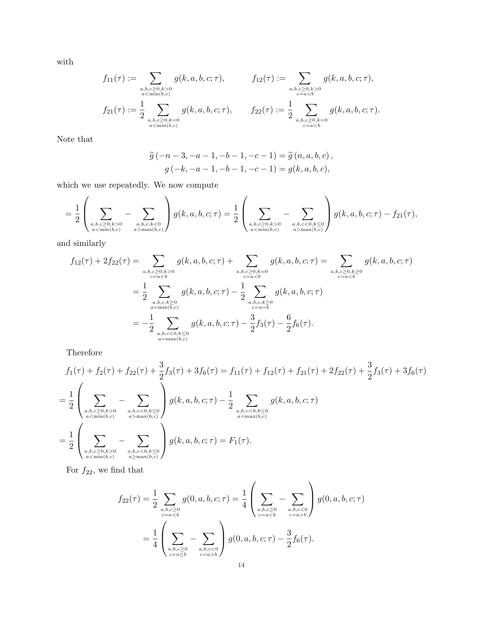with

$$
f_{11}(\tau) := \sum_{\substack{a,b,c \ge 0, k>0 \\ a < \min(b,c) \\ f_{21}(\tau) := \frac{1}{2} \sum_{\substack{a,b,c \ge 0, k=0 \\ a < \min(b,c) \\ a < \min(b,c)}} g(k, a, b, c; \tau), \qquad f_{12}(\tau) := \frac{1}{2} \sum_{\substack{a,b,c \ge 0, k>0 \\ b < a, b, c \ge 0, k=0}} g(k, a, b, c; \tau).
$$

Note that

$$
\widetilde{g}(-n-3, -a-1, -b-1, -c-1) = \widetilde{g}(n, a, b, c),
$$
  

$$
g(-k, -a-1, -b-1, -c-1) = g(k, a, b, c),
$$

which we use repeatedly. We now compute

$$
= \frac{1}{2} \left( \sum_{\substack{a,b,c \ge 0, k>0 \\ a < \min(b,c)}} - \sum_{\substack{a,b,c,k < 0 \\ a > \max(b,c)}} \right) g(k,a,b,c;\tau) = \frac{1}{2} \left( \sum_{\substack{a,b,c \ge 0, k>0 \\ a < \min(b,c)}} - \sum_{\substack{a,b,c < 0, k \le 0 \\ a > \max(b,c)}} \right) g(k,a,b,c;\tau) - f_{21}(\tau),
$$

and similarly

$$
f_{12}(\tau) + 2f_{22}(\tau) = \sum_{\substack{a,b,c \ge 0, k>0 \\ c = a0 \\ c = a  
= 
$$
\frac{1}{2} \sum_{\substack{a,b,c,k \ge 0 \\ a = \min(b,c) \\ a = \max(b,c)}} g(k, a, b, c; \tau) - \frac{1}{2} \sum_{\substack{a,b,c,k \ge 0 \\ c = a=b}} g(k, a, b, c; \tau)
$$
  
= 
$$
-\frac{1}{2} \sum_{\substack{a,b,c < 0, k \le 0 \\ a = \max(b,c)}} g(k, a, b, c; \tau) - \frac{3}{2} f_3(\tau) - \frac{6}{2} f_6(\tau).
$$
$$

Therefore

$$
f_1(\tau) + f_2(\tau) + f_{22}(\tau) + \frac{3}{2}f_3(\tau) + 3f_6(\tau) = f_{11}(\tau) + f_{12}(\tau) + f_{21}(\tau) + 2f_{22}(\tau) + \frac{3}{2}f_3(\tau) + 3f_6(\tau)
$$
  
=  $\frac{1}{2} \left( \sum_{\substack{a,b,c \ge 0, k>0 \\ a < \min(b,c)}} - \sum_{\substack{a,b,c < 0, k \le 0 \\ a > \max(b,c)}} \right) g(k, a, b, c; \tau) - \frac{1}{2} \sum_{\substack{a,b,c < 0, k \le 0 \\ a = \max(b,c)}} g(k, a, b, c; \tau)$   
=  $\frac{1}{2} \left( \sum_{\substack{a,b,c \ge 0, k>0 \\ a < \min(b,c)}} - \sum_{\substack{a,b,c < 0, k \le 0 \\ a \ge \max(b,c)}} \right) g(k, a, b, c; \tau) = F_1(\tau).$ 

For  $f_{22}$ , we find that

$$
f_{22}(\tau) = \frac{1}{2} \sum_{\substack{a,b,c \ge 0 \\ c=ab}} \right) g(0, a, b, c; \tau)
$$

$$
= \frac{1}{4} \left( \sum_{\substack{a,b,c \ge 0 \\ c=ab}} \right) g(0, a, b, c; \tau) - \frac{3}{2} f_6(\tau).
$$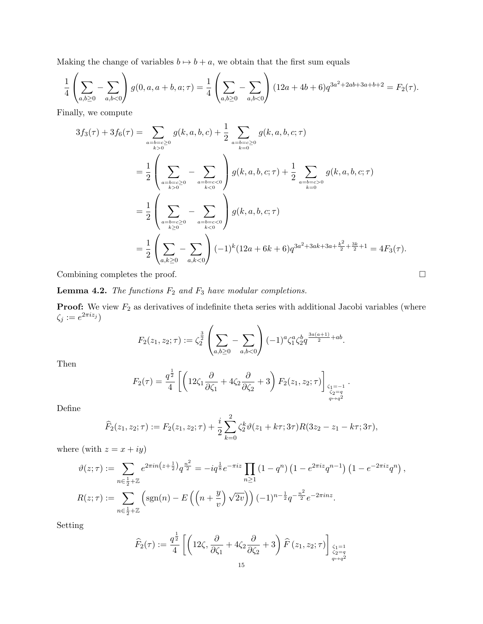Making the change of variables  $b \mapsto b + a$ , we obtain that the first sum equals

$$
\frac{1}{4} \left( \sum_{a,b \ge 0} - \sum_{a,b < 0} \right) g(0, a, a+b, a; \tau) = \frac{1}{4} \left( \sum_{a,b \ge 0} - \sum_{a,b < 0} \right) (12a + 4b + 6) q^{3a^2 + 2ab + 3a + b + 2} = F_2(\tau).
$$

Finally, we compute

$$
3f_3(\tau) + 3f_6(\tau) = \sum_{\substack{a=b=c\geq 0\\k>0}} g(k, a, b, c) + \frac{1}{2} \sum_{\substack{a=b=c\geq 0\\k=0}} g(k, a, b, c; \tau)
$$
  
= 
$$
\frac{1}{2} \left( \sum_{\substack{a=b=c\geq 0\\k>0}} - \sum_{\substack{a=b=c<0\\k<0}} \right) g(k, a, b, c; \tau) + \frac{1}{2} \sum_{\substack{a=b=c>0\\k=0}} g(k, a, b, c; \tau)
$$
  
= 
$$
\frac{1}{2} \left( \sum_{\substack{a=b=c\geq 0\\k\geq 0}} - \sum_{\substack{a=b=c<0\\k<0}} \right) g(k, a, b, c; \tau)
$$
  
= 
$$
\frac{1}{2} \left( \sum_{a,k\geq 0} - \sum_{a,k<0} (-1)^k (12a + 6k + 6) q^{3a^2 + 3ak + 3a + \frac{k^2}{2} + \frac{3k}{2} + 1} = 4F_3(\tau).
$$

Combining completes the proof.  $\Box$ 

<span id="page-14-0"></span>**Lemma 4.2.** The functions  $F_2$  and  $F_3$  have modular completions.

**Proof:** We view  $F_2$  as derivatives of indefinite theta series with additional Jacobi variables (where  $\zeta_j := e^{2\pi i z_j}$ 

$$
F_2(z_1, z_2; \tau) := \zeta_2^{\frac{3}{2}} \left( \sum_{a,b \ge 0} - \sum_{a,b < 0} \right) (-1)^a \zeta_1^a \zeta_2^b q^{\frac{3a(a+1)}{2} + ab}.
$$

Then

$$
F_2(\tau) = \frac{q^{\frac{1}{2}}}{4} \left[ \left( 12\zeta_1 \frac{\partial}{\partial \zeta_1} + 4\zeta_2 \frac{\partial}{\partial \zeta_2} + 3 \right) F_2(z_1, z_2; \tau) \right]_{\zeta_1 = -1 \atop q \to q^2}.
$$

Define

$$
\widehat{F}_2(z_1, z_2; \tau) := F_2(z_1, z_2; \tau) + \frac{i}{2} \sum_{k=0}^2 \zeta_2^k \vartheta(z_1 + k\tau; 3\tau) R(3z_2 - z_1 - k\tau; 3\tau),
$$

where (with  $z = x + iy$ )

$$
\vartheta(z;\tau) := \sum_{n \in \frac{1}{2} + \mathbb{Z}} e^{2\pi i n \left(z + \frac{1}{2}\right)} q^{\frac{n^2}{2}} = -i q^{\frac{1}{8}} e^{-\pi i z} \prod_{n \ge 1} (1 - q^n) \left(1 - e^{2\pi i z} q^{n-1}\right) \left(1 - e^{-2\pi i z} q^n\right),
$$
  

$$
R(z;\tau) := \sum_{n \in \frac{1}{2} + \mathbb{Z}} \left(\text{sgn}(n) - E\left(\left(n + \frac{y}{v}\right) \sqrt{2v}\right)\right) (-1)^{n - \frac{1}{2}} q^{-\frac{n^2}{2}} e^{-2\pi i n z}.
$$

Setting

$$
\widehat{F}_2(\tau) := \frac{q^{\frac{1}{2}}}{4} \left[ \left( 12\zeta, \frac{\partial}{\partial \zeta_1} + 4\zeta_2 \frac{\partial}{\partial \zeta_2} + 3 \right) \widehat{F}\left(z_1, z_2; \tau\right) \right]_{\substack{\zeta_1 = 1 \\ q \to q^2}}.
$$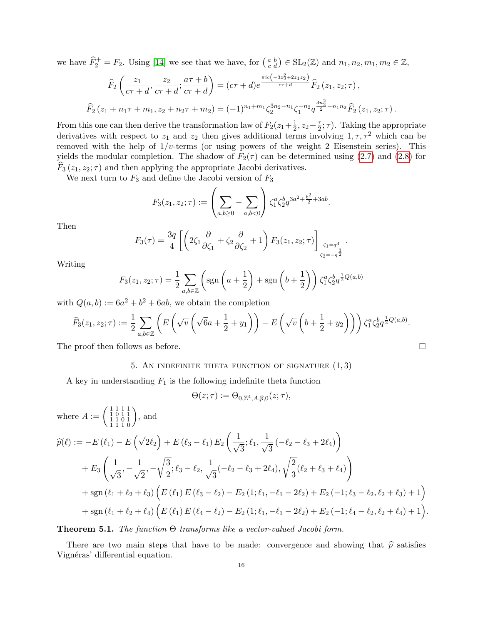we have  $\widehat{F}_2^+ = F_2$ . Using [\[14\]](#page-20-13) we see that we have, for  $\binom{a}{c}\in SL_2(\mathbb{Z})$  and  $n_1, n_2, m_1, m_2 \in \mathbb{Z}$ ,

$$
\widehat{F}_2\left(\frac{z_1}{c\tau+d}, \frac{z_2}{c\tau+d}; \frac{a\tau+b}{c\tau+d}\right) = (c\tau+d)e^{\frac{\pi ic\left(-3z_2^2+2z_1z_2\right)}{c\tau+d}}\widehat{F}_2\left(z_1, z_2; \tau\right),
$$
\n
$$
\widehat{F}_2\left(z_1 + n_1\tau + m_1, z_2 + n_2\tau + m_2\right) = (-1)^{n_1+m_1} \zeta_2^{3n_2-n_1} \zeta_1^{-n_2} q^{\frac{3n_2^2}{2}-n_1n_2} \widehat{F}_2\left(z_1, z_2; \tau\right).
$$

From this one can then derive the transformation law of  $F_2(z_1+\frac{1}{2})$  $\frac{1}{2}$ ,  $z_2 + \frac{\tau}{2}$  $\frac{\tau}{2}$ ;  $\tau$ ). Taking the appropriate derivatives with respect to  $z_1$  and  $z_2$  then gives additional terms involving  $1, \tau, \tau^2$  which can be removed with the help of  $1/v$ -terms (or using powers of the weight 2 Eisenstein series). This yields the modular completion. The shadow of  $F_2(\tau)$  can be determined using [\(2.7\)](#page-4-2) and [\(2.8\)](#page-4-3) for  $F_3(z_1, z_2; \tau)$  and then applying the appropriate Jacobi derivatives.

We next turn to  $F_3$  and define the Jacobi version of  $F_3$ 

$$
F_3(z_1, z_2; \tau) := \left(\sum_{a,b \ge 0} - \sum_{a,b < 0}\right) \zeta_1^a \zeta_2^b q^{3a^2 + \frac{b^2}{2} + 3ab}.
$$

Then

$$
F_3(\tau) = \frac{3q}{4} \left[ \left( 2\zeta_1 \frac{\partial}{\partial \zeta_1} + \zeta_2 \frac{\partial}{\partial \zeta_2} + 1 \right) F_3(z_1, z_2; \tau) \right]_{\zeta_1 = q^3 \atop \zeta_2 = -q^{\frac{3}{2}}}.
$$

Writing

$$
F_3(z_1, z_2; \tau) = \frac{1}{2} \sum_{a, b \in \mathbb{Z}} \left( \text{sgn}\left(a + \frac{1}{2}\right) + \text{sgn}\left(b + \frac{1}{2}\right) \right) \zeta_1^a \zeta_2^b q^{\frac{1}{2}Q(a, b)}
$$

with  $Q(a, b) := 6a^2 + b^2 + 6ab$ , we obtain the completion

$$
\widehat{F}_3(z_1, z_2; \tau) := \frac{1}{2} \sum_{a,b \in \mathbb{Z}} \left( E\left(\sqrt{v} \left(\sqrt{6a} + \frac{1}{2} + y_1\right)\right) - E\left(\sqrt{v} \left(b + \frac{1}{2} + y_2\right)\right) \right) \zeta_1^a \zeta_2^b q^{\frac{1}{2}Q(a,b)}.
$$

The proof then follows as before.  $\Box$ 

# 5. AN INDEFINITE THETA FUNCTION OF SIGNATURE  $(1, 3)$

A key in understanding  $F_1$  is the following indefinite theta function

$$
\Theta(z;\tau) := \Theta_{0,\mathbb{Z}^4,A,\widehat{p},0}(z;\tau),
$$

where 
$$
A := \begin{pmatrix} 1 & 1 & 1 & 1 \\ 1 & 1 & 0 & 1 \\ 1 & 1 & 1 & 0 \end{pmatrix}
$$
, and  
\n
$$
\widehat{p}(\ell) := -E(\ell_1) - E(\sqrt{2}\ell_2) + E(\ell_3 - \ell_1) E_2 \left( \frac{1}{\sqrt{3}}; \ell_1, \frac{1}{\sqrt{3}} (-\ell_2 - \ell_3 + 2\ell_4) \right)
$$
\n
$$
+ E_3 \left( \frac{1}{\sqrt{3}}, -\frac{1}{\sqrt{2}}, -\sqrt{\frac{3}{2}}; \ell_3 - \ell_2, \frac{1}{\sqrt{3}} (-\ell_2 - \ell_3 + 2\ell_4), \sqrt{\frac{2}{3}} (\ell_2 + \ell_3 + \ell_4) \right)
$$
\n
$$
+ \operatorname{sgn}(\ell_1 + \ell_2 + \ell_3) \left( E(\ell_1) E(\ell_3 - \ell_2) - E_2(1; \ell_1, -\ell_1 - 2\ell_2) + E_2(-1; \ell_3 - \ell_2, \ell_2 + \ell_3) + 1 \right)
$$
\n
$$
+ \operatorname{sgn}(\ell_1 + \ell_2 + \ell_4) \left( E(\ell_1) E(\ell_4 - \ell_2) - E_2(1; \ell_1, -\ell_1 - 2\ell_2) + E_2(-1; \ell_4 - \ell_2, \ell_2 + \ell_4) + 1 \right).
$$

**Theorem 5.1.** The function  $\Theta$  transforms like a vector-valued Jacobi form.

There are two main steps that have to be made: convergence and showing that  $\hat{p}$  satisfies Vignéras' differential equation.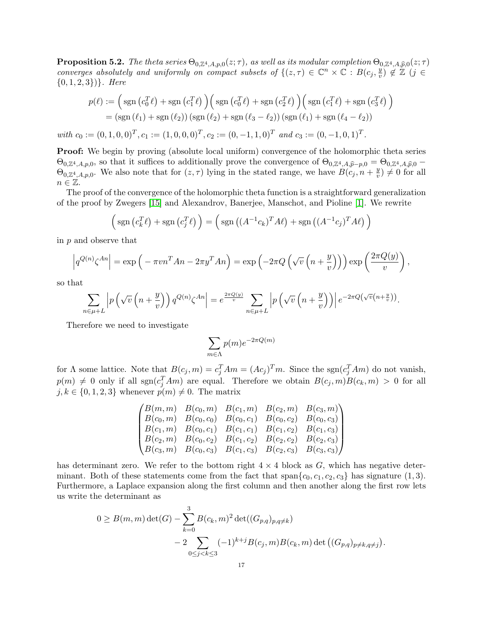<span id="page-16-0"></span>**Proposition 5.2.** The theta series  $\Theta_{0,\mathbb{Z}^4, A, p,0}(z;\tau)$ , as well as its modular completion  $\Theta_{0,\mathbb{Z}^4, A, \widehat{p},0}(z;\tau)$ converges absolutely and uniformly on compact subsets of  $\{(z,\tau)\in\mathbb{C}^n\times\mathbb{C}:B(c_j,\frac{y_j}{n})\}$  $(v_i, \widetilde{\mathcal{L}}) \notin \mathbb{Z}$   $(j \in$  $\{0, 1, 2, 3\}\}$ . Here

$$
p(\ell) := \left(\text{sgn}\left(c_0^T\ell\right) + \text{sgn}\left(c_1^T\ell\right)\right) \left(\text{sgn}\left(c_0^T\ell\right) + \text{sgn}\left(c_2^T\ell\right)\right) \left(\text{sgn}\left(c_1^T\ell\right) + \text{sgn}\left(c_3^T\ell\right)\right)
$$

$$
= \left(\text{sgn}\left(\ell_1\right) + \text{sgn}\left(\ell_2\right)\right) \left(\text{sgn}\left(\ell_2\right) + \text{sgn}\left(\ell_3 - \ell_2\right)\right) \left(\text{sgn}\left(\ell_1\right) + \text{sgn}\left(\ell_4 - \ell_2\right)\right)
$$

with  $c_0 := (0, 1, 0, 0)^T, c_1 := (1, 0, 0, 0)^T, c_2 := (0, -1, 1, 0)^T$  and  $c_3 := (0, -1, 0, 1)^T$ .

Proof: We begin by proving (absolute local uniform) convergence of the holomorphic theta series  $\Theta_{0,\mathbb{Z}^4,A,p,0}$ , so that it suffices to additionally prove the convergence of  $\Theta_{0,\mathbb{Z}^4,A,\widehat{p},-p,0} = \Theta_{0,\mathbb{Z}^4,A,\widehat{p},0} - \Theta_{0,\mathbb{Z}^4,A,\widehat{p},0}$  $\Theta_{0,\mathbb{Z}^4, A, p,0}$ . We also note that for  $(z, \tau)$  lying in the stated range, we have  $B(c_j, n+\frac{y}{v})$  $(v<sub>v</sub>) \neq 0$  for all  $n \in \mathbb{Z}$ .

The proof of the convergence of the holomorphic theta function is a straightforward generalization of the proof by Zwegers [\[15\]](#page-20-7) and Alexandrov, Banerjee, Manschot, and Pioline [\[1\]](#page-20-6). We rewrite

$$
\left(\operatorname{sgn}\left(c_k^T\ell\right) + \operatorname{sgn}\left(c_j^T\ell\right)\right) = \left(\operatorname{sgn}\left((A^{-1}c_k)^T A \ell\right) + \operatorname{sgn}\left((A^{-1}c_j)^T A \ell\right)\right)
$$

in p and observe that

$$
\left| q^{Q(n)} \zeta^{An} \right| = \exp \left( - \pi v n^T A n - 2 \pi y^T A n \right) = \exp \left( -2 \pi Q \left( \sqrt{v} \left( n + \frac{y}{v} \right) \right) \right) \exp \left( \frac{2 \pi Q(y)}{v} \right),
$$

so that

$$
\sum_{n \in \mu + L} \left| p\left(\sqrt{v}\left(n + \frac{y}{v}\right)\right) q^{Q(n)} \zeta^{An} \right| = e^{\frac{2\pi Q(y)}{v}} \sum_{n \in \mu + L} \left| p\left(\sqrt{v}\left(n + \frac{y}{v}\right)\right) \right| e^{-2\pi Q\left(\sqrt{v}\left(n + \frac{y}{v}\right)\right)}.
$$

Therefore we need to investigate

$$
\sum_{m \in \Lambda} p(m) e^{-2\pi Q(m)}
$$

for  $\Lambda$  some lattice. Note that  $B(c_j, m) = c_j^T A m = (Ac_j)^T m$ . Since the sgn $(c_j^T A m)$  do not vanish,  $p(m) \neq 0$  only if all  $sgn(c_j^T Am)$  are equal. Therefore we obtain  $B(c_j, m)B(c_k, m) > 0$  for all  $j, k \in \{0, 1, 2, 3\}$  whenever  $p(m) \neq 0$ . The matrix

$$
\begin{pmatrix}\nB(m, m) & B(c_0, m) & B(c_1, m) & B(c_2, m) & B(c_3, m) \\
B(c_0, m) & B(c_0, c_0) & B(c_0, c_1) & B(c_0, c_2) & B(c_0, c_3) \\
B(c_1, m) & B(c_0, c_1) & B(c_1, c_1) & B(c_1, c_2) & B(c_1, c_3) \\
B(c_2, m) & B(c_0, c_2) & B(c_1, c_2) & B(c_2, c_2) & B(c_2, c_3) \\
B(c_3, m) & B(c_0, c_3) & B(c_1, c_3) & B(c_2, c_3) & B(c_3, c_3)\n\end{pmatrix}
$$

has determinant zero. We refer to the bottom right  $4 \times 4$  block as G, which has negative determinant. Both of these statements come from the fact that span $\{c_0, c_1, c_2, c_3\}$  has signature (1, 3). Furthermore, a Laplace expansion along the first column and then another along the first row lets us write the determinant as

$$
0 \ge B(m, m) \det(G) - \sum_{k=0}^{3} B(c_k, m)^2 \det((G_{p,q})_{p,q \ne k})
$$
  
- 2 
$$
\sum_{0 \le j < k \le 3} (-1)^{k+j} B(c_j, m) B(c_k, m) \det((G_{p,q})_{p \ne k, q \ne j}).
$$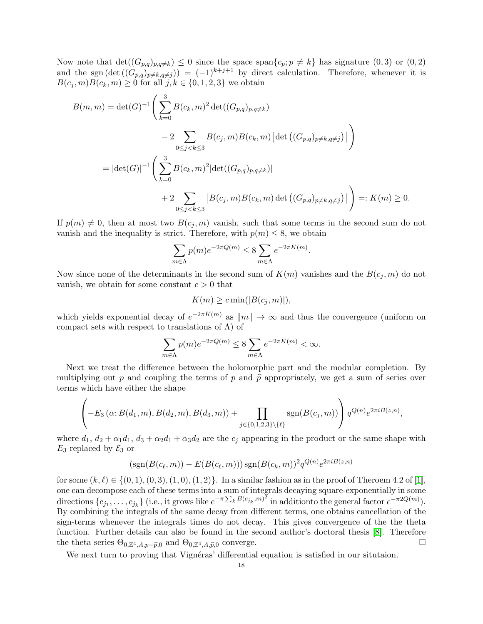Now note that  $\det((G_{p,q})_{p,q\neq k}) \leq 0$  since the space span $\{c_p: p \neq k\}$  has signature  $(0,3)$  or  $(0,2)$ and the sgn  $(\det ((G_{p,q})_{p\neq k,q\neq j})) = (-1)^{k+j+1}$  by direct calculation. Therefore, whenever it is  $B(c_i, m)B(c_k, m) \ge 0$  for all  $j, k \in \{0, 1, 2, 3\}$  we obtain

$$
B(m, m) = \det(G)^{-1} \Bigg( \sum_{k=0}^{3} B(c_k, m)^2 \det((G_{p,q})_{p,q \neq k})
$$
  
\n
$$
- 2 \sum_{0 \leq j < k \leq 3} B(c_j, m) B(c_k, m) |\det((G_{p,q})_{p \neq k, q \neq j})| \Bigg)
$$
  
\n
$$
= |\det(G)|^{-1} \Bigg( \sum_{k=0}^{3} B(c_k, m)^2 |\det((G_{p,q})_{p,q \neq k})|
$$
  
\n
$$
+ 2 \sum_{0 \leq j < k \leq 3} |B(c_j, m) B(c_k, m) \det((G_{p,q})_{p \neq k, q \neq j})| \Bigg) =: K(m) \geq 0.
$$

If  $p(m) \neq 0$ , then at most two  $B(c_i, m)$  vanish, such that some terms in the second sum do not vanish and the inequality is strict. Therefore, with  $p(m) \leq 8$ , we obtain

$$
\sum_{m \in \Lambda} p(m) e^{-2\pi Q(m)} \le 8 \sum_{m \in \Lambda} e^{-2\pi K(m)}.
$$

Now since none of the determinants in the second sum of  $K(m)$  vanishes and the  $B(c_j, m)$  do not vanish, we obtain for some constant  $c > 0$  that

$$
K(m) \geq c \min(|B(c_j, m)|),
$$

which yields exponential decay of  $e^{-2\pi K(m)}$  as  $||m|| \to \infty$  and thus the convergence (uniform on compact sets with respect to translations of  $\Lambda$ ) of

$$
\sum_{m \in \Lambda} p(m) e^{-2\pi Q(m)} \le 8 \sum_{m \in \Lambda} e^{-2\pi K(m)} < \infty.
$$

Next we treat the difference between the holomorphic part and the modular completion. By multiplying out p and coupling the terms of p and  $\hat{p}$  appropriately, we get a sum of series over terms which have either the shape

$$
\left(-E_3(\alpha; B(d_1,m), B(d_2,m), B(d_3,m))+\prod_{j\in\{0,1,2,3\}\setminus\{\ell\}}\text{sgn}(B(c_j,m))\right)q^{Q(n)}e^{2\pi iB(z,n)},
$$

where  $d_1, d_2 + \alpha_1 d_1, d_3 + \alpha_2 d_1 + \alpha_3 d_2$  are the  $c_j$  appearing in the product or the same shape with  $E_3$  replaced by  $\mathcal{E}_3$  or

$$
(sgn(B(c_{\ell}, m)) - E(B(c_{\ell}, m)))
$$
sgn $(B(c_k, m))^2 q^{Q(n)} e^{2\pi i B(z, n)}$ 

for some  $(k, \ell) \in \{(0, 1), (0, 3), (1, 0), (1, 2)\}.$  In a similar fashion as in the proof of Theroem 4.2 of [\[1\]](#page-20-6), one can decompose each of these terms into a sum of integrals decaying square-exponentially in some directions  $\{c_{j_1}, \ldots, c_{j_k}\}\$  (i.e., it grows like  $e^{-\pi \sum_k B(c_{j_k}, m)^2}$  in additionto the general factor  $e^{-\pi 2Q(m)}$ ). By combining the integrals of the same decay from different terms, one obtains cancellation of the sign-terms whenever the integrals times do not decay. This gives convergence of the the theta function. Further details can also be found in the second author's doctoral thesis [\[8\]](#page-20-14). Therefore the theta series  $\Theta_{0,\mathbb{Z}^4,A,p-\widehat{p},0}$  and  $\Theta_{0,\mathbb{Z}^4,A,\widehat{p},0}$  converge.

We next turn to proving that Vignéras' differential equation is satisfied in our situtaion.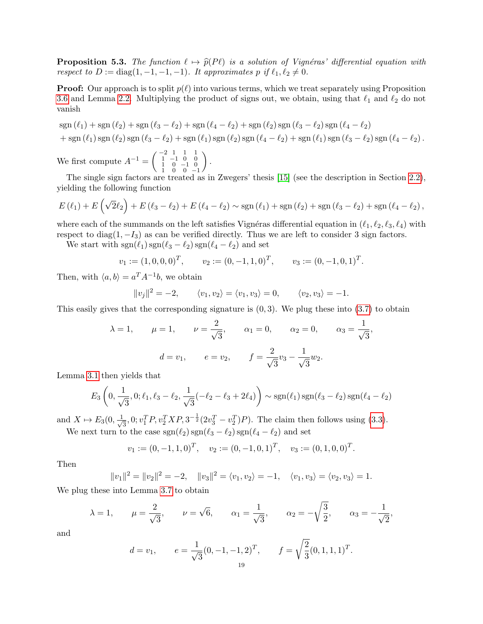<span id="page-18-0"></span>**Proposition 5.3.** The function  $\ell \mapsto \hat{p}(P\ell)$  is a solution of Vignéras' differential equation with respect to  $D := diag(1, -1, -1, -1)$ . It approximates p if  $\ell_1, \ell_2 \neq 0$ .

**Proof:** Our approach is to split  $p(\ell)$  into various terms, which we treat separately using Proposition [3.6](#page-9-0) and Lemma [2.2.](#page-2-2) Multiplying the product of signs out, we obtain, using that  $\ell_1$  and  $\ell_2$  do not vanish

$$
sgn (\ell_1) + sgn (\ell_2) + sgn (\ell_3 - \ell_2) + sgn (\ell_4 - \ell_2) + sgn (\ell_2) sgn (\ell_3 - \ell_2) sgn (\ell_4 - \ell_2)
$$
  
+ 
$$
sgn (\ell_1) sgn (\ell_2) sgn (\ell_3 - \ell_2) + sgn (\ell_1) sgn (\ell_2) sgn (\ell_4 - \ell_2) + sgn (\ell_1) sgn (\ell_3 - \ell_2) sgn (\ell_4 - \ell_2).
$$

We first compute  $A^{-1} = \begin{pmatrix} -2 & 1 & 1 & 1 \\ 1 & -1 & 0 & 0 \\ 1 & 0 & -1 & 0 \\ 1 & 0 & 0 & -1 \end{pmatrix}$  $\big).$ 

The single sign factors are treated as in Zwegers' thesis [\[15\]](#page-20-7) (see the description in Section [2.2\)](#page-3-2), yielding the following function

$$
E(\ell_1) + E(\sqrt{2}\ell_2) + E(\ell_3 - \ell_2) + E(\ell_4 - \ell_2) \sim \text{sgn}(\ell_1) + \text{sgn}(\ell_2) + \text{sgn}(\ell_3 - \ell_2) + \text{sgn}(\ell_4 - \ell_2),
$$

where each of the summands on the left satisfies Vignéras differential equation in  $(\ell_1, \ell_2, \ell_3, \ell_4)$  with respect to diag $(1, -I_3)$  as can be verified directly. Thus we are left to consider 3 sign factors.

We start with  $sgn(\ell_1)$   $sgn(\ell_3 - \ell_2)$   $sgn(\ell_4 - \ell_2)$  and set

$$
v_1 := (1, 0, 0, 0)^T
$$
,  $v_2 := (0, -1, 1, 0)^T$ ,  $v_3 := (0, -1, 0, 1)^T$ .

Then, with  $\langle a, b \rangle = a^T A^{-1} b$ , we obtain

$$
||v_j||^2 = -2, \qquad \langle v_1, v_2 \rangle = \langle v_1, v_3 \rangle = 0, \qquad \langle v_2, v_3 \rangle = -1.
$$

This easily gives that the corresponding signature is  $(0, 3)$ . We plug these into  $(3.7)$  to obtain

$$
\lambda = 1,
$$
  $\mu = 1,$   $\nu = \frac{2}{\sqrt{3}},$   $\alpha_1 = 0,$   $\alpha_2 = 0,$   $\alpha_3 = \frac{1}{\sqrt{3}},$   
\n $d = v_1,$   $e = v_2,$   $f = \frac{2}{\sqrt{3}}v_3 - \frac{1}{\sqrt{3}}w_2.$ 

Lemma [3.1](#page-5-0) then yields that

$$
E_3\left(0, \frac{1}{\sqrt{3}}, 0; \ell_1, \ell_3 - \ell_2, \frac{1}{\sqrt{3}}(-\ell_2 - \ell_3 + 2\ell_4)\right) \sim \text{sgn}(\ell_1) \text{sgn}(\ell_3 - \ell_2) \text{sgn}(\ell_4 - \ell_2)
$$

and  $X \mapsto E_3(0, \frac{1}{\sqrt{2}})$  $\frac{1}{3}$ , 0;  $v_1^T P$ ,  $v_2^T X P$ ,  $3^{-\frac{1}{2}} (2v_3^T - v_2^T) P$ ). The claim then follows using [\(3.3\)](#page-5-1). We next turn to the case  $sgn(\ell_2)$  sgn $(\ell_3 - \ell_2)$  sgn $(\ell_4 - \ell_2)$  and set

$$
v_1 := (0, -1, 1, 0)^T
$$
,  $v_2 := (0, -1, 0, 1)^T$ ,  $v_3 := (0, 1, 0, 0)^T$ .

Then

$$
||v_1||^2 = ||v_2||^2 = -2, \quad ||v_3||^2 = \langle v_1, v_2 \rangle = -1, \quad \langle v_1, v_3 \rangle = \langle v_2, v_3 \rangle = 1.
$$

We plug these into Lemma [3.7](#page-10-0) to obtain

$$
\lambda = 1,
$$
\n $\mu = \frac{2}{\sqrt{3}},$ \n $\nu = \sqrt{6},$ \n $\alpha_1 = \frac{1}{\sqrt{3}},$ \n $\alpha_2 = -\sqrt{\frac{3}{2}},$ \n $\alpha_3 = -\frac{1}{\sqrt{2}},$ 

and

$$
d = v_1,
$$
  $e = \frac{1}{\sqrt{3}} (0, -1, -1, 2)^T,$   $f = \sqrt{\frac{2}{3}} (0, 1, 1, 1)^T.$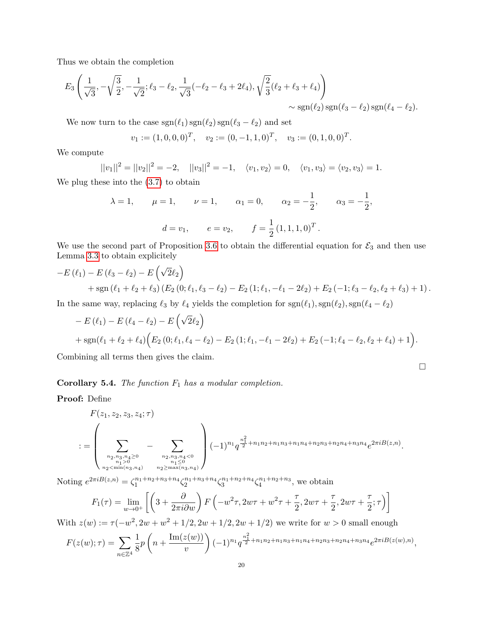Thus we obtain the completion

$$
E_3\left(\frac{1}{\sqrt{3}}, -\sqrt{\frac{3}{2}}, -\frac{1}{\sqrt{2}}; \ell_3 - \ell_2, \frac{1}{\sqrt{3}}(-\ell_2 - \ell_3 + 2\ell_4), \sqrt{\frac{2}{3}}(\ell_2 + \ell_3 + \ell_4)\right) \sim \text{sgn}(\ell_2)\text{sgn}(\ell_3 - \ell_2)\text{sgn}(\ell_4 - \ell_2).
$$

We now turn to the case  $\text{sgn}(\ell_1) \, \text{sgn}(\ell_2) \, \text{sgn}(\ell_3 - \ell_2)$  and set

$$
v_1 := (1, 0, 0, 0)^T
$$
,  $v_2 := (0, -1, 1, 0)^T$ ,  $v_3 := (0, 1, 0, 0)^T$ .

We compute

$$
||v_1||^2 = ||v_2||^2 = -2, \quad ||v_3||^2 = -1, \quad \langle v_1, v_2 \rangle = 0, \quad \langle v_1, v_3 \rangle = \langle v_2, v_3 \rangle = 1.
$$

We plug these into the [\(3.7\)](#page-10-0) to obtain

$$
\lambda = 1,
$$
\n $\mu = 1,$ \n $\nu = 1,$ \n $\alpha_1 = 0,$ \n $\alpha_2 = -\frac{1}{2},$ \n $\alpha_3 = -\frac{1}{2},$ \n  
\n $d = v_1,$ \n $e = v_2,$ \n $f = \frac{1}{2}(1, 1, 1, 0)^T.$ 

We use the second part of Proposition [3.6](#page-9-0) to obtain the differential equation for  $\mathcal{E}_3$  and then use Lemma [3.3](#page-6-1) to obtain explicitely

$$
-E(\ell_1) - E(\ell_3 - \ell_2) - E(\sqrt{2}\ell_2)
$$
  
+ sgn(\ell\_1 + \ell\_2 + \ell\_3) (E\_2 (0; \ell\_1, \ell\_3 - \ell\_2) - E\_2 (1; \ell\_1, -\ell\_1 - 2\ell\_2) + E\_2 (-1; \ell\_3 - \ell\_2, \ell\_2 + \ell\_3) + 1).

In the same way, replacing  $\ell_3$  by  $\ell_4$  yields the completion for sgn( $\ell_1$ ), sgn( $\ell_2$ ), sgn( $\ell_4 - \ell_2$ )

$$
- E(\ell_1) - E(\ell_4 - \ell_2) - E(\sqrt{2}\ell_2)
$$
  
+ sgn( $\ell_1 + \ell_2 + \ell_4$ ) (E<sub>2</sub>(0;  $\ell_1, \ell_4 - \ell_2$ ) - E<sub>2</sub>(1;  $\ell_1, -\ell_1 - 2\ell_2$ ) + E<sub>2</sub>(-1;  $\ell_4 - \ell_2, \ell_2 + \ell_4$ ) + 1).

 $\Box$ 

Combining all terms then gives the claim.

# **Corollary 5.4.** The function  $F_1$  has a modular completion.

# Proof: Define

$$
F(z_1, z_2, z_3, z_4; \tau)
$$
  

$$
:= \left(\sum_{\substack{n_2, n_3, n_4 \ge 0 \\ n_1 > 0 \\ n_2 < \min(n_3, n_4)}} - \sum_{\substack{n_2, n_3, n_4 < 0 \\ n_1 \le 0 \\ n_2 \ge \max(n_3, n_4)}} \right) (-1)^{n_1} q^{\frac{n_1^2}{2} + n_1 n_2 + n_1 n_3 + n_1 n_4 + n_2 n_3 + n_2 n_4 + n_3 n_4} e^{2\pi i B(z, n)}.
$$

Noting  $e^{2\pi i B(z,n)} = \zeta_1^{n_1+n_2+n_3+n_4} \zeta_2^{n_1+n_3+n_4} \zeta_3^{n_1+n_2+n_4} \zeta_4^{n_1+n_2+n_3}$ , we obtain

$$
F_1(\tau) = \lim_{w \to 0^+} \left[ \left( 3 + \frac{\partial}{2\pi i \partial w} \right) F\left( -w^2 \tau, 2w\tau + w^2 \tau + \frac{\tau}{2}, 2w\tau + \frac{\tau}{2}, 2w\tau + \frac{\tau}{2}; \tau \right) \right]
$$

With  $z(w) := \tau(-w^2, 2w + w^2 + 1/2, 2w + 1/2, 2w + 1/2)$  we write for  $w > 0$  small enough

$$
F(z(w); \tau) = \sum_{n \in \mathbb{Z}^4} \frac{1}{8} p \left( n + \frac{\text{Im}(z(w))}{v} \right) (-1)^{n_1} q^{\frac{n_1^2}{2} + n_1 n_2 + n_1 n_3 + n_1 n_4 + n_2 n_3 + n_2 n_4 + n_3 n_4} e^{2 \pi i B(z(w), n)},
$$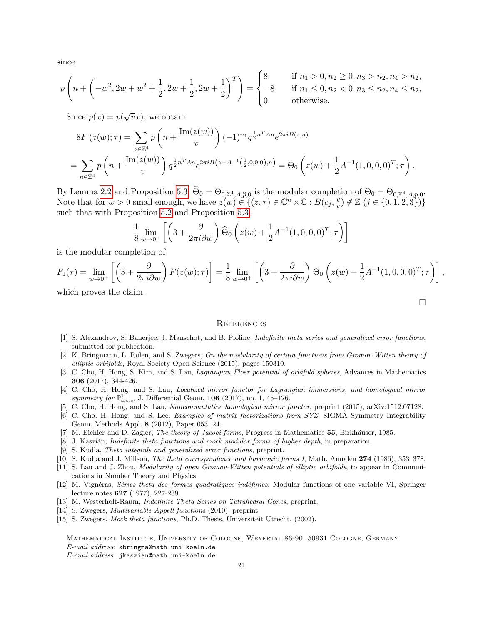since

$$
p\left(n + \left(-w^2, 2w + w^2 + \frac{1}{2}, 2w + \frac{1}{2}, 2w + \frac{1}{2}\right)^T\right) = \begin{cases} 8 \\ -8 \\ 0 \end{cases}
$$

if  $n_1 > 0, n_2 \geq 0, n_3 > n_2, n_4 > n_2$ , if  $n_1 \leq 0, n_2 < 0, n_3 \leq n_2, n_4 \leq n_2$ otherwise.

 $\Box$ 

Since  $p(x) = p(\sqrt{v}x)$ , we obtain

$$
8F(z(w);\tau) = \sum_{n\in\mathbb{Z}^4} p\left(n + \frac{\text{Im}(z(w))}{v}\right) (-1)^{n_1} q^{\frac{1}{2}n^T A n} e^{2\pi i B(z,n)}
$$
  
= 
$$
\sum_{n\in\mathbb{Z}^4} p\left(n + \frac{\text{Im}(z(w))}{v}\right) q^{\frac{1}{2}n^T A n} e^{2\pi i B(z+A^{-1}(\frac{1}{2},0,0,0),n)} = \Theta_0 \left(z(w) + \frac{1}{2}A^{-1}(1,0,0,0)^T; \tau\right).
$$

By Lemma [2.2](#page-2-2) and Proposition [5.3,](#page-18-0)  $\Theta_0 = \Theta_{0,\mathbb{Z}^4,A,\widehat{p},0}$  is the modular completion of  $\Theta_0 = \Theta_{0,\mathbb{Z}^4,A,p,0}$ .<br>Note that for  $w > 0$  small apparent we have  $z(w) \in ((z, \tau) \in \mathbb{C}^n \times \mathbb{C} : P(z, y) \notin \mathbb{Z} \times (z \in [0, 1, 2,$ Note that for  $w > 0$  small enough, we have  $z(w) \in \{(z, \tau) \in \mathbb{C}^n \times \mathbb{C} : B(c_j, \frac{y}{n})\}$  $(v_i^y) \notin \mathbb{Z} \ (j \in \{0, 1, 2, 3\})$ such that with Proposition [5.2](#page-16-0) and Proposition [5.3,](#page-18-0)

$$
\frac{1}{8} \lim_{w \to 0^+} \left[ \left( 3 + \frac{\partial}{2\pi i \partial w} \right) \widehat{\Theta}_0 \left( z(w) + \frac{1}{2} A^{-1} (1, 0, 0, 0)^T ; \tau \right) \right]
$$

is the modular completion of

$$
F_1(\tau) = \lim_{w \to 0^+} \left[ \left( 3 + \frac{\partial}{2\pi i \partial w} \right) F(z(w); \tau) \right] = \frac{1}{8} \lim_{w \to 0^+} \left[ \left( 3 + \frac{\partial}{2\pi i \partial w} \right) \Theta_0 \left( z(w) + \frac{1}{2} A^{-1}(1, 0, 0, 0, 0)^T; \tau \right) \right],
$$

which proves the claim.

#### **REFERENCES**

- <span id="page-20-6"></span>[1] S. Alexandrov, S. Banerjee, J. Manschot, and B. Pioline, Indefinite theta series and generalized error functions, submitted for publication.
- <span id="page-20-5"></span>[2] K. Bringmann, L. Rolen, and S. Zwegers, On the modularity of certain functions from Gromov-Witten theory of elliptic orbifolds, Royal Society Open Science (2015), pages 150310.
- <span id="page-20-1"></span>[3] C. Cho, H. Hong, S. Kim, and S. Lau, *Lagrangian Floer potential of orbifold spheres*, Advances in Mathematics 306 (2017), 344-426.
- <span id="page-20-0"></span>[4] C. Cho, H. Hong, and S. Lau, Localized mirror functor for Lagrangian immersions, and homological mirror symmetry for  $\mathbb{P}^1_{a,b,c}$ , J. Differential Geom. **106** (2017), no. 1, 45-126.
- <span id="page-20-3"></span>[5] C. Cho, H. Hong, and S. Lau, Noncommutative homological mirror functor, preprint (2015), arXiv:1512.07128.
- <span id="page-20-4"></span>[6] C. Cho, H. Hong, and S. Lee, Examples of matrix factorizations from SYZ, SIGMA Symmetry Integrability Geom. Methods Appl. 8 (2012), Paper 053, 24.
- <span id="page-20-12"></span>[7] M. Eichler and D. Zagier, The theory of Jacobi forms, Progress in Mathematics 55, Birkhäuser, 1985.
- <span id="page-20-14"></span>[8] J. Kaszián, *Indefinite theta functions and mock modular forms of higher depth*, in preparation.
- <span id="page-20-8"></span>[9] S. Kudla, Theta integrals and generalized error functions, preprint.
- <span id="page-20-9"></span>[10] S. Kudla and J. Millson, The theta correspondence and harmonic forms I, Math. Annalen 274 (1986), 353–378.
- <span id="page-20-2"></span>[11] S. Lau and J. Zhou, Modularity of open Gromov-Witten potentials of elliptic orbifolds, to appear in Communications in Number Theory and Physics.
- <span id="page-20-11"></span>[12] M. Vignéras, Séries theta des formes quadratiques indéfinies, Modular functions of one variable VI, Springer lecture notes 627 (1977), 227-239.
- <span id="page-20-10"></span>[13] M. Westerholt-Raum, Indefinite Theta Series on Tetrahedral Cones, preprint.
- <span id="page-20-13"></span>[14] S. Zwegers, *Multivariable Appell functions* (2010), preprint.
- <span id="page-20-7"></span>[15] S. Zwegers, Mock theta functions, Ph.D. Thesis, Universiteit Utrecht, (2002).

Mathematical Institute, University of Cologne, Weyertal 86-90, 50931 Cologne, Germany E-mail address: kbringma@math.uni-koeln.de E-mail address: jkaszian@math.uni-koeln.de

21